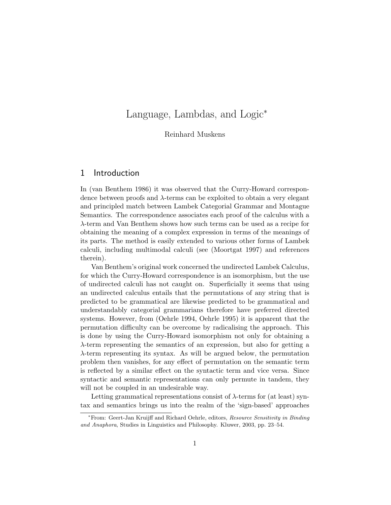# Language, Lambdas, and Logic<sup>∗</sup>

Reinhard Muskens

# 1 Introduction

In (van Benthem 1986) it was observed that the Curry-Howard correspondence between proofs and  $\lambda$ -terms can be exploited to obtain a very elegant and principled match between Lambek Categorial Grammar and Montague Semantics. The correspondence associates each proof of the calculus with a λ-term and Van Benthem shows how such terms can be used as a recipe for obtaining the meaning of a complex expression in terms of the meanings of its parts. The method is easily extended to various other forms of Lambek calculi, including multimodal calculi (see (Moortgat 1997) and references therein).

Van Benthem's original work concerned the undirected Lambek Calculus, for which the Curry-Howard correspondence is an isomorphism, but the use of undirected calculi has not caught on. Superficially it seems that using an undirected calculus entails that the permutations of any string that is predicted to be grammatical are likewise predicted to be grammatical and understandably categorial grammarians therefore have preferred directed systems. However, from (Oehrle 1994, Oehrle 1995) it is apparent that the permutation difficulty can be overcome by radicalising the approach. This is done by using the Curry-Howard isomorphism not only for obtaining a  $\lambda$ -term representing the semantics of an expression, but also for getting a  $\lambda$ -term representing its syntax. As will be argued below, the permutation problem then vanishes, for any effect of permutation on the semantic term is reflected by a similar effect on the syntactic term and vice versa. Since syntactic and semantic representations can only permute in tandem, they will not be coupled in an undesirable way.

Letting grammatical representations consist of  $\lambda$ -terms for (at least) syntax and semantics brings us into the realm of the 'sign-based' approaches

<sup>∗</sup>From: Geert-Jan Kruijff and Richard Oehrle, editors, Resource Sensitivity in Binding and Anaphora, Studies in Linguistics and Philosophy. Kluwer, 2003, pp. 23–54.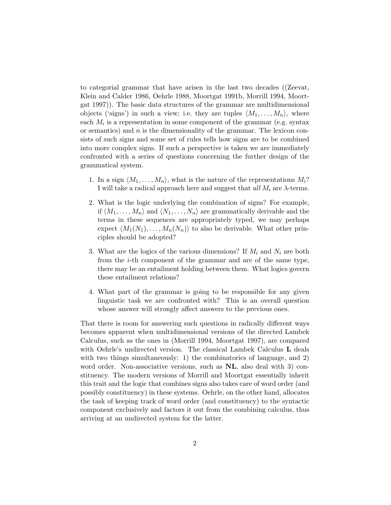to categorial grammar that have arisen in the last two decades ((Zeevat, Klein and Calder 1986, Oehrle 1988, Moortgat 1991b, Morrill 1994, Moortgat 1997)). The basic data structures of the grammar are multidimensional objects ('signs') in such a view; i.e. they are tuples  $\langle M_1, \ldots, M_n \rangle$ , where each  $M_i$  is a representation in some component of the grammar (e.g. syntax or semantics) and  $n$  is the dimensionality of the grammar. The lexicon consists of such signs and some set of rules tells how signs are to be combined into more complex signs. If such a perspective is taken we are immediately confronted with a series of questions concerning the further design of the grammatical system.

- 1. In a sign  $\langle M_1, \ldots, M_n \rangle$ , what is the nature of the representations  $M_i$ ? I will take a radical approach here and suggest that all  $M_i$  are  $\lambda$ -terms.
- 2. What is the logic underlying the combination of signs? For example, if  $\langle M_1, \ldots, M_n \rangle$  and  $\langle N_1, \ldots, N_n \rangle$  are grammatically derivable and the terms in these sequences are appropriately typed, we may perhaps expect  $\langle M_1(N_1), \ldots, M_n(N_n) \rangle$  to also be derivable. What other principles should be adopted?
- 3. What are the logics of the various dimensions? If  $M_i$  and  $N_i$  are both from the i-th component of the grammar and are of the same type, there may be an entailment holding between them. What logics govern these entailment relations?
- 4. What part of the grammar is going to be responsible for any given linguistic task we are confronted with? This is an overall question whose answer will strongly affect answers to the previous ones.

That there is room for answering such questions in radically different ways becomes apparent when multidimensional versions of the directed Lambek Calculus, such as the ones in (Morrill 1994, Moortgat 1997), are compared with Oehrle's undirected version. The classical Lambek Calculus L deals with two things simultaneously: 1) the combinatorics of language, and 2) word order. Non-associative versions, such as **NL**, also deal with 3) constituency. The modern versions of Morrill and Moortgat essentially inherit this trait and the logic that combines signs also takes care of word order (and possibly constituency) in these systems. Oehrle, on the other hand, allocates the task of keeping track of word order (and constituency) to the syntactic component exclusively and factors it out from the combining calculus, thus arriving at an undirected system for the latter.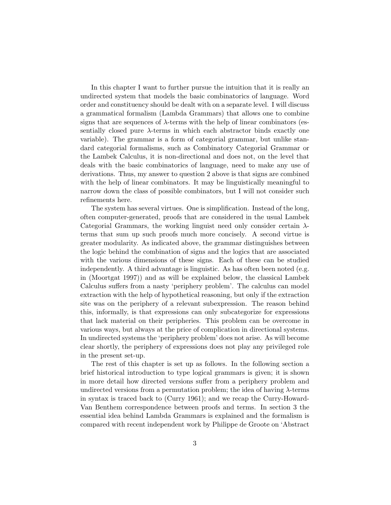In this chapter I want to further pursue the intuition that it is really an undirected system that models the basic combinatorics of language. Word order and constituency should be dealt with on a separate level. I will discuss a grammatical formalism (Lambda Grammars) that allows one to combine signs that are sequences of  $\lambda$ -terms with the help of linear combinators (essentially closed pure  $\lambda$ -terms in which each abstractor binds exactly one variable). The grammar is a form of categorial grammar, but unlike standard categorial formalisms, such as Combinatory Categorial Grammar or the Lambek Calculus, it is non-directional and does not, on the level that deals with the basic combinatorics of language, need to make any use of derivations. Thus, my answer to question 2 above is that signs are combined with the help of linear combinators. It may be linguistically meaningful to narrow down the class of possible combinators, but I will not consider such refinements here.

The system has several virtues. One is simplification. Instead of the long, often computer-generated, proofs that are considered in the usual Lambek Categorial Grammars, the working linguist need only consider certain  $\lambda$ terms that sum up such proofs much more concisely. A second virtue is greater modularity. As indicated above, the grammar distinguishes between the logic behind the combination of signs and the logics that are associated with the various dimensions of these signs. Each of these can be studied independently. A third advantage is linguistic. As has often been noted (e.g. in (Moortgat 1997)) and as will be explained below, the classical Lambek Calculus suffers from a nasty 'periphery problem'. The calculus can model extraction with the help of hypothetical reasoning, but only if the extraction site was on the periphery of a relevant subexpression. The reason behind this, informally, is that expressions can only subcategorize for expressions that lack material on their peripheries. This problem can be overcome in various ways, but always at the price of complication in directional systems. In undirected systems the 'periphery problem' does not arise. As will become clear shortly, the periphery of expressions does not play any privileged role in the present set-up.

The rest of this chapter is set up as follows. In the following section a brief historical introduction to type logical grammars is given; it is shown in more detail how directed versions suffer from a periphery problem and undirected versions from a permutation problem; the idea of having  $\lambda$ -terms in syntax is traced back to (Curry 1961); and we recap the Curry-Howard-Van Benthem correspondence between proofs and terms. In section 3 the essential idea behind Lambda Grammars is explained and the formalism is compared with recent independent work by Philippe de Groote on 'Abstract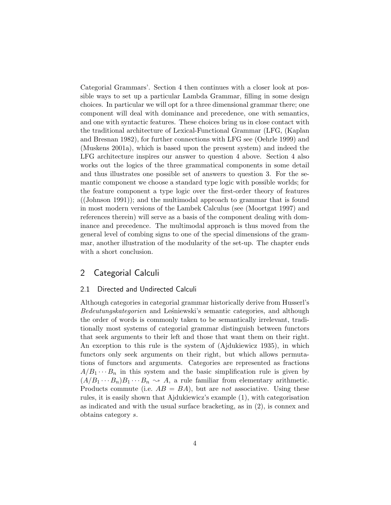Categorial Grammars'. Section 4 then continues with a closer look at possible ways to set up a particular Lambda Grammar, filling in some design choices. In particular we will opt for a three dimensional grammar there; one component will deal with dominance and precedence, one with semantics, and one with syntactic features. These choices bring us in close contact with the traditional architecture of Lexical-Functional Grammar (LFG, (Kaplan and Bresnan 1982), for further connections with LFG see (Oehrle 1999) and (Muskens 2001a), which is based upon the present system) and indeed the LFG architecture inspires our answer to question 4 above. Section 4 also works out the logics of the three grammatical components in some detail and thus illustrates one possible set of answers to question 3. For the semantic component we choose a standard type logic with possible worlds; for the feature component a type logic over the first-order theory of features ((Johnson 1991)); and the multimodal approach to grammar that is found in most modern versions of the Lambek Calculus (see (Moortgat 1997) and references therein) will serve as a basis of the component dealing with dominance and precedence. The multimodal approach is thus moved from the general level of combing signs to one of the special dimensions of the grammar, another illustration of the modularity of the set-up. The chapter ends with a short conclusion.

### 2 Categorial Calculi

#### 2.1 Directed and Undirected Calculi

Although categories in categorial grammar historically derive from Husserl's Bedeutungskategorien and Leśniewski's semantic categories, and although the order of words is commonly taken to be semantically irrelevant, traditionally most systems of categorial grammar distinguish between functors that seek arguments to their left and those that want them on their right. An exception to this rule is the system of (Ajdukiewicz 1935), in which functors only seek arguments on their right, but which allows permutations of functors and arguments. Categories are represented as fractions  $A/B_1 \cdots B_n$  in this system and the basic simplification rule is given by  $(A/B_1 \cdots B_n)B_1 \cdots B_n \rightarrow A$ , a rule familiar from elementary arithmetic. Products commute (i.e.  $AB = BA$ ), but are not associative. Using these rules, it is easily shown that Ajdukiewicz's example (1), with categorisation as indicated and with the usual surface bracketing, as in (2), is connex and obtains category s.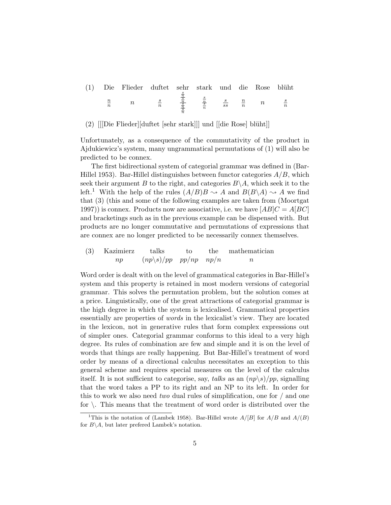|         | (1) Die Flieder duftet sehr stark und die Rose blüht |                  |  |                |  |  |
|---------|------------------------------------------------------|------------------|--|----------------|--|--|
| $\it n$ |                                                      | $\boldsymbol{n}$ |  | $\overline{s}$ |  |  |

#### $(2)$  [[Die Flieder][duftet [sehr stark]]] und [[die Rose] blüht]]

Unfortunately, as a consequence of the commutativity of the product in Ajdukiewicz's system, many ungrammatical permutations of (1) will also be predicted to be connex.

The first bidirectional system of categorial grammar was defined in (Bar-Hillel 1953). Bar-Hillel distinguishes between functor categories  $A/B$ , which seek their argument B to the right, and categories  $B \setminus A$ , which seek it to the left.<sup>1</sup> With the help of the rules  $(A/B)B \rightsquigarrow A$  and  $B(B\setminus A) \rightsquigarrow A$  we find that (3) (this and some of the following examples are taken from (Moortgat 1997)) is connex. Products now are associative, i.e. we have  $[AB]C = A[BC]$ and bracketings such as in the previous example can be dispensed with. But products are no longer commutative and permutations of expressions that are connex are no longer predicted to be necessarily connex themselves.

(3) Kazimierz talks to the mathematician 
$$
np
$$
  $(np \backslash s)/pp$   $pp/np$   $np/n$   $n$ 

Word order is dealt with on the level of grammatical categories in Bar-Hillel's system and this property is retained in most modern versions of categorial grammar. This solves the permutation problem, but the solution comes at a price. Linguistically, one of the great attractions of categorial grammar is the high degree in which the system is lexicalised. Grammatical properties essentially are properties of words in the lexicalist's view. They are located in the lexicon, not in generative rules that form complex expressions out of simpler ones. Categorial grammar conforms to this ideal to a very high degree. Its rules of combination are few and simple and it is on the level of words that things are really happening. But Bar-Hillel's treatment of word order by means of a directional calculus necessitates an exception to this general scheme and requires special measures on the level of the calculus itself. It is not sufficient to categorise, say, talks as an  $(np\backslash s)/pp$ , signalling that the word takes a PP to its right and an NP to its left. In order for this to work we also need two dual rules of simplification, one for / and one for \. This means that the treatment of word order is distributed over the

<sup>&</sup>lt;sup>1</sup>This is the notation of (Lambek 1958). Bar-Hillel wrote  $A/[B]$  for  $A/B$  and  $A/(B)$ for  $B\setminus A$ , but later prefered Lambek's notation.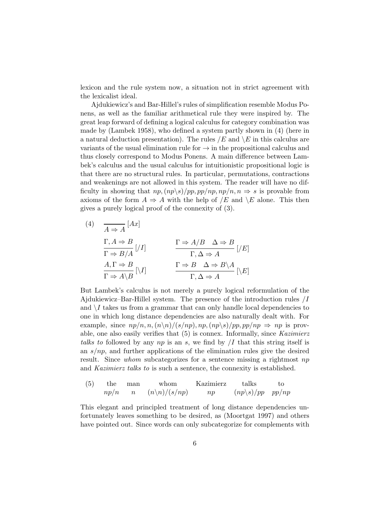lexicon and the rule system now, a situation not in strict agreement with the lexicalist ideal.

Ajdukiewicz's and Bar-Hillel's rules of simplification resemble Modus Ponens, as well as the familiar arithmetical rule they were inspired by. The great leap forward of defining a logical calculus for category combination was made by (Lambek 1958), who defined a system partly shown in (4) (here in a natural deduction presentation). The rules  $/E$  and  $\E$  in this calculus are variants of the usual elimination rule for  $\rightarrow$  in the propositional calculus and thus closely correspond to Modus Ponens. A main difference between Lambek's calculus and the usual calculus for intuitionistic propositional logic is that there are no structural rules. In particular, permutations, contractions and weakenings are not allowed in this system. The reader will have no difficulty in showing that  $np,(np\gtrslash s)/pp, pp(np, np/n, n \Rightarrow s$  is provable from axioms of the form  $A \Rightarrow A$  with the help of  $\overline{E}$  and  $\overline{E}$  alone. This then gives a purely logical proof of the connexity of (3).

(4) 
$$
\overline{A \Rightarrow A}
$$
  $[Ax]$   
\n $\Gamma, A \Rightarrow B$   
\n $\Gamma \Rightarrow B/A$   $[I]$   
\n $\Gamma \Rightarrow B/A$   
\n $\Gamma \Rightarrow B$   
\n $\Gamma \Rightarrow B \quad \Delta \Rightarrow B$   
\n $\Gamma \Rightarrow B \quad \Delta \Rightarrow B \quad \Delta \Rightarrow B \quad \Delta \Rightarrow B$   
\n $\Gamma \Rightarrow A \Rightarrow B$   
\n $\Gamma \Rightarrow B \quad \Delta \Rightarrow B \quad \Delta \Rightarrow B \quad \Delta \Rightarrow B \quad \Delta \Rightarrow B \quad \Delta \Rightarrow B \quad \Delta \Rightarrow B \quad \Delta \Rightarrow B \quad \Delta \Rightarrow B \quad \Delta \Rightarrow B \quad \Delta \Rightarrow B \quad \Delta \Rightarrow B \quad \Delta \Rightarrow B \quad \Delta \Rightarrow B \quad \Delta \Rightarrow B \quad \Delta \Rightarrow B \quad \Delta \Rightarrow B \quad \Delta \Rightarrow B \quad \Delta \Rightarrow B \quad \Delta \Rightarrow B \quad \Delta \Rightarrow B \quad \Delta \Rightarrow B \quad \Delta \Rightarrow B \quad \Delta \Rightarrow B \quad \Delta \Rightarrow B \quad \Delta \Rightarrow B \quad \Delta \Rightarrow B \quad \Delta \Rightarrow B \quad \Delta \Rightarrow B \quad \Delta \Rightarrow B \quad \Delta \Rightarrow B \quad \Delta \Rightarrow B \quad \Delta \Rightarrow B \quad \Delta \Rightarrow B \quad \Delta \Rightarrow B \quad \Delta \Rightarrow B \quad \Delta \Rightarrow B \quad \Delta \Rightarrow B \quad \Delta \Rightarrow B \quad \Delta \Rightarrow B \quad \Delta \Rightarrow B \quad \Delta \Rightarrow B \quad \Delta \Rightarrow B \quad \Delta \Rightarrow B \quad \Delta \Rightarrow B \quad \Delta \Rightarrow B \quad \Delta \Rightarrow B \quad \Delta \Rightarrow B \quad \Delta \Rightarrow B \quad \Delta \Rightarrow B \quad \Delta \Rightarrow B \quad \Delta \Rightarrow B \quad \Delta \Rightarrow B \quad \Delta \Rightarrow B \quad \Delta \Rightarrow B \quad \Delta \Rightarrow B \quad \Delta \Rightarrow B \quad \Delta \Rightarrow B \quad \Delta \Rightarrow B \quad \Delta \Rightarrow B \quad \Delta \Rightarrow B \quad \Delta \Rightarrow B \quad \Delta \Rightarrow B \quad \Delta \Rightarrow B \quad \Delta \Rightarrow B \quad \Delta \Rightarrow B \quad \Delta \Rightarrow B \quad \Delta \Rightarrow B \quad \Delta \Rightarrow B \quad \Delta \Rightarrow B \quad \Delta \Rightarrow B \quad \Delta \Rightarrow B \quad \Delta \Rightarrow B \quad \Delta \Rightarrow B \quad \Delta \Rightarrow B \quad \Delta \Rightarrow B \quad \Delta \Rightarrow B \quad \Delta \Rightarrow B \quad \Delta \Rightarrow B \quad \Delta \Rightarrow B \quad \Delta \Rightarrow B \quad \Delta \Rightarrow B \quad \Delta \Rightarrow B \quad \Delta \Rightarrow B \quad \Delta \Rightarrow B \quad \Delta \Rightarrow B \quad \Delta$ 

But Lambek's calculus is not merely a purely logical reformulation of the Ajdukiewicz–Bar-Hillel system. The presence of the introduction rules /I and  $\setminus I$  takes us from a grammar that can only handle local dependencies to one in which long distance dependencies are also naturally dealt with. For example, since  $np/n, n, (n\backslash n)/(s/np), np, (np\backslash s)/pp, pp/np \Rightarrow np$  is provable, one also easily verifies that  $(5)$  is connex. Informally, since *Kazimierz* talks to followed by any  $np$  is an s, we find by  $/I$  that this string itself is an  $s/np$ , and further applications of the elimination rules give the desired result. Since whom subcategorizes for a sentence missing a rightmost np and Kazimierz talks to is such a sentence, the connexity is established.

(5) the man whom Kazimierz talks to 
$$
np/n
$$
 n  $(n \nmid n)/(s/np)$  np  $(np \nmid s)/pp$  pp/np

This elegant and principled treatment of long distance dependencies unfortunately leaves something to be desired, as (Moortgat 1997) and others have pointed out. Since words can only subcategorize for complements with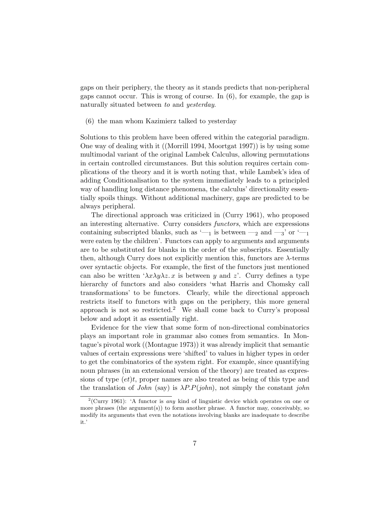gaps on their periphery, the theory as it stands predicts that non-peripheral gaps cannot occur. This is wrong of course. In (6), for example, the gap is naturally situated between to and yesterday.

(6) the man whom Kazimierz talked to yesterday

Solutions to this problem have been offered within the categorial paradigm. One way of dealing with it ((Morrill 1994, Moortgat 1997)) is by using some multimodal variant of the original Lambek Calculus, allowing permutations in certain controlled circumstances. But this solution requires certain complications of the theory and it is worth noting that, while Lambek's idea of adding Conditionalisation to the system immediately leads to a principled way of handling long distance phenomena, the calculus' directionality essentially spoils things. Without additional machinery, gaps are predicted to be always peripheral.

The directional approach was criticized in (Curry 1961), who proposed an interesting alternative. Curry considers functors, which are expressions containing subscripted blanks, such as  $\leftarrow_1$  is between  $\leftarrow_2$  and  $\leftarrow_3'$  or  $\leftarrow_1$ were eaten by the children'. Functors can apply to arguments and arguments are to be substituted for blanks in the order of the subscripts. Essentially then, although Curry does not explicitly mention this, functors are  $\lambda$ -terms over syntactic objects. For example, the first of the functors just mentioned can also be written ' $\lambda x \lambda y \lambda z$ . x is between y and z'. Curry defines a type hierarchy of functors and also considers 'what Harris and Chomsky call transformations' to be functors. Clearly, while the directional approach restricts itself to functors with gaps on the periphery, this more general approach is not so restricted.<sup>2</sup> We shall come back to Curry's proposal below and adopt it as essentially right.

Evidence for the view that some form of non-directional combinatorics plays an important role in grammar also comes from semantics. In Montague's pivotal work ((Montague 1973)) it was already implicit that semantic values of certain expressions were 'shifted' to values in higher types in order to get the combinatorics of the system right. For example, since quantifying noun phrases (in an extensional version of the theory) are treated as expressions of type  $(et)t$ , proper names are also treated as being of this type and the translation of *John* (say) is  $\lambda P \cdot P(john)$ , not simply the constant *john* 

<sup>&</sup>lt;sup>2</sup>(Curry 1961): 'A functor is *any* kind of linguistic device which operates on one or more phrases (the argument(s)) to form another phrase. A functor may, conceivably, so modify its arguments that even the notations involving blanks are inadequate to describe it.'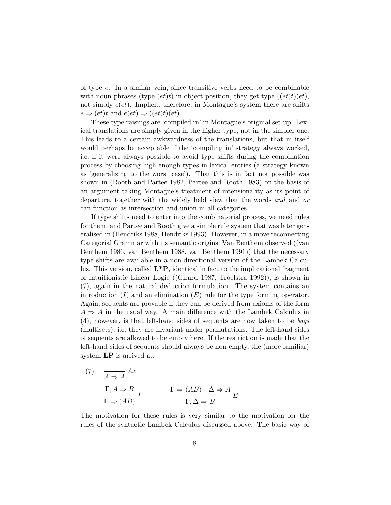of type e. In a similar vein, since transitive verbs need to be combinable with noun phrases (type  $(et)t$ ) in object position, they get type  $((et)t)(et)$ , not simply  $e(e_t)$ . Implicit, therefore, in Montague's system there are shifts  $e \Rightarrow (et)t$  and  $e (et) \Rightarrow ((et)t)(et)$ .

These type raisings are 'compiled in' in Montague's original set-up. Lexical translations are simply given in the higher type, not in the simpler one. This leads to a certain awkwardness of the translations, but that in itself would perhaps be acceptable if the 'compiling in' strategy always worked, i.e. if it were always possible to avoid type shifts during the combination process by choosing high enough types in lexical entries (a strategy known as 'generalizing to the worst case'). That this is in fact not possible was shown in (Rooth and Partee 1982, Partee and Rooth 1983) on the basis of an argument taking Montague's treatment of intensionality as its point of departure, together with the widely held view that the words and and or can function as intersection and union in all categories.

If type shifts need to enter into the combinatorial process, we need rules for them, and Partee and Rooth give a simple rule system that was later generalised in (Hendriks 1988, Hendriks 1993). However, in a move reconnecting Categorial Grammar with its semantic origins, Van Benthem observed ((van Benthem 1986, van Benthem 1988, van Benthem 1991)) that the necessary type shifts are available in a non-directional version of the Lambek Calculus. This version, called  $L^{\ast}P$ , identical in fact to the implicational fragment of Intuitionistic Linear Logic ((Girard 1987, Troelstra 1992)), is shown in (7), again in the natural deduction formulation. The system contains an introduction  $(I)$  and an elimination  $(E)$  rule for the type forming operator. Again, sequents are provable if they can be derived from axioms of the form  $A \Rightarrow A$  in the usual way. A main difference with the Lambek Calculus in (4), however, is that left-hand sides of sequents are now taken to be bags (multisets), i.e. they are invariant under permutations. The left-hand sides of sequents are allowed to be empty here. If the restriction is made that the left-hand sides of sequents should always be non-empty, the (more familiar) system **LP** is arrived at.

(7) 
$$
\overline{A \Rightarrow A}
$$
  $Ax$   
\n $\Gamma, A \Rightarrow B$   
\n $\Gamma \Rightarrow (AB)$   $\Gamma \Rightarrow (AB) \Delta \Rightarrow A$   
\n $\Gamma, \Delta \Rightarrow B$   $E$ 

The motivation for these rules is very similar to the motivation for the rules of the syntactic Lambek Calculus discussed above. The basic way of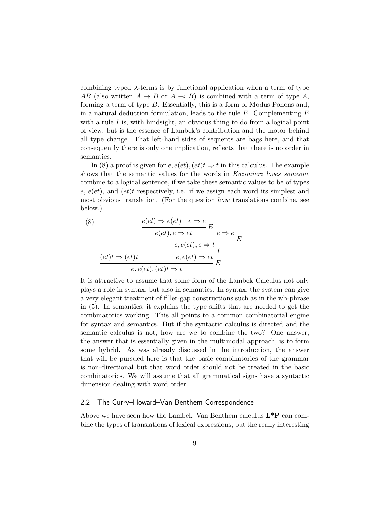combining typed  $\lambda$ -terms is by functional application when a term of type AB (also written  $A \to B$  or  $A \to B$ ) is combined with a term of type A, forming a term of type B. Essentially, this is a form of Modus Ponens and, in a natural deduction formulation, leads to the rule  $E$ . Complementing  $E$ with a rule  $I$  is, with hindsight, an obvious thing to do from a logical point of view, but is the essence of Lambek's contribution and the motor behind all type change. That left-hand sides of sequents are bags here, and that consequently there is only one implication, reflects that there is no order in semantics.

In (8) a proof is given for  $e, e(e t), (et) t \Rightarrow t$  in this calculus. The example shows that the semantic values for the words in *Kazimierz loves someone* combine to a logical sentence, if we take these semantic values to be of types  $e, e(et)$ , and  $(et)t$  respectively, i.e. if we assign each word its simplest and most obvious translation. (For the question how translations combine, see below.)

(8)  
\n
$$
\frac{e(et) \Rightarrow e(et) \quad e \Rightarrow e}{e(et), e \Rightarrow et} E
$$
\n
$$
\frac{e(et)t \Rightarrow (et)t}{e, e(et), e \Rightarrow t} E
$$
\n
$$
\frac{e, e(et), e \Rightarrow t}{e, e(et) \Rightarrow et} I
$$
\n
$$
e, e(et), (et)t \Rightarrow t
$$

It is attractive to assume that some form of the Lambek Calculus not only plays a role in syntax, but also in semantics. In syntax, the system can give a very elegant treatment of filler-gap constructions such as in the wh-phrase in (5). In semantics, it explains the type shifts that are needed to get the combinatorics working. This all points to a common combinatorial engine for syntax and semantics. But if the syntactic calculus is directed and the semantic calculus is not, how are we to combine the two? One answer, the answer that is essentially given in the multimodal approach, is to form some hybrid. As was already discussed in the introduction, the answer that will be pursued here is that the basic combinatorics of the grammar is non-directional but that word order should not be treated in the basic combinatorics. We will assume that all grammatical signs have a syntactic dimension dealing with word order.

#### 2.2 The Curry–Howard–Van Benthem Correspondence

Above we have seen how the Lambek–Van Benthem calculus  $L^*P$  can combine the types of translations of lexical expressions, but the really interesting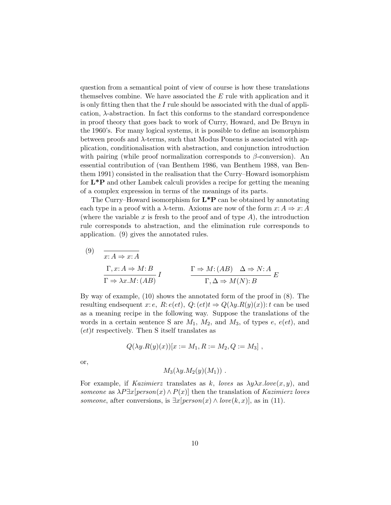question from a semantical point of view of course is how these translations themselves combine. We have associated the  $E$  rule with application and it is only fitting then that the  $I$  rule should be associated with the dual of application,  $\lambda$ -abstraction. In fact this conforms to the standard correspondence in proof theory that goes back to work of Curry, Howard, and De Bruyn in the 1960's. For many logical systems, it is possible to define an isomorphism between proofs and  $\lambda$ -terms, such that Modus Ponens is associated with application, conditionalisation with abstraction, and conjunction introduction with pairing (while proof normalization corresponds to  $\beta$ -conversion). An essential contribution of (van Benthem 1986, van Benthem 1988, van Benthem 1991) consisted in the realisation that the Curry–Howard isomorphism for  $L^*P$  and other Lambek calculi provides a recipe for getting the meaning of a complex expression in terms of the meanings of its parts.

The Curry–Howard isomorphism for  $L^*P$  can be obtained by annotating each type in a proof with a  $\lambda$ -term. Axioms are now of the form  $x: A \Rightarrow x: A$ (where the variable  $x$  is fresh to the proof and of type  $A$ ), the introduction rule corresponds to abstraction, and the elimination rule corresponds to application. (9) gives the annotated rules.

(9) 
$$
\overline{x:A \Rightarrow x:A}
$$
  
\n $\Gamma, x:A \Rightarrow M:B$   
\n $\Gamma \Rightarrow \lambda x.M:(AB)$   
\n $\Gamma \Rightarrow M:(AB) \quad \Delta \Rightarrow N:A$   
\n $\Gamma, \Delta \Rightarrow M(N):B$ 

By way of example, (10) shows the annotated form of the proof in (8). The resulting endsequent x: e, R:  $e(et)$ , Q:  $(et)t \Rightarrow Q(\lambda y.R(y)(x))$ : t can be used as a meaning recipe in the following way. Suppose the translations of the words in a certain sentence S are  $M_1$ ,  $M_2$ , and  $M_3$ , of types e,  $e(et)$ , and  $\int (et)t$  respectively. Then S itself translates as

$$
Q(\lambda y.R(y)(x))[x := M_1, R := M_2, Q := M_3],
$$

or,

$$
M_3(\lambda y.M_2(y)(M_1))\ .
$$

For example, if *Kazimierz* translates as k, loves as  $\lambda y \lambda x.$ love $(x, y)$ , and someone as  $\lambda P\exists x[person(x) \wedge P(x)]$  then the translation of Kazimierz loves someone, after conversions, is  $\exists x [person(x) \land love(k, x)]$ , as in (11).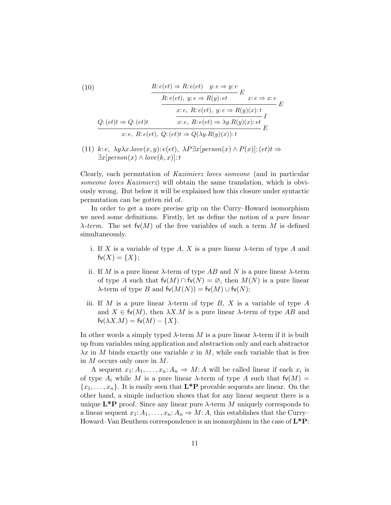(10)  
\n
$$
\begin{array}{c}\nR: e(et) \Rightarrow R: e(et) \quad y: e \Rightarrow y: e \\
\hline\nR: e(et), y: e \Rightarrow R(y): et \quad x: e \Rightarrow x: e \\
\hline\nx: e, R: e(et), y: e \Rightarrow R(y)(x): t \\
\hline\n\end{array}
$$
\n
$$
Q: (et)t \Rightarrow Q: (et)t \quad x: e, R: e(et) \Rightarrow \lambda y. R(y)(x): et \quad I
$$
\n
$$
x: e, R: e(et), Q: (et)t \Rightarrow Q(\lambda y. R(y)(x)): t \quad E
$$

(11) 
$$
k: e
$$
,  $\lambda y \lambda x. love(x, y): e(et)$ ,  $\lambda P \exists x [person(x) \land P(x)]: (et)t \Rightarrow$   
 $\exists x [person(x) \land love(k, x)]: t$ 

Clearly, each permutation of Kazimierz loves someone (and in particular someone loves Kazimierz) will obtain the same translation, which is obviously wrong. But below it will be explained how this closure under syntactic permutation can be gotten rid of.

In order to get a more precise grip on the Curry–Howard isomorphism we need some definitions. Firstly, let us define the notion of a *pure linear*  $\lambda$ -term. The set fv(M) of the free variables of such a term M is defined simultaneously.

- i. If X is a variable of type A, X is a pure linear  $\lambda$ -term of type A and  $fv(X) = \{X\};$
- ii. If M is a pure linear  $\lambda$ -term of type AB and N is a pure linear  $\lambda$ -term of type A such that  $f\nu(M) \cap f\nu(N) = \emptyset$ , then  $M(N)$  is a pure linear  $\lambda$ -term of type B and fv $(M(N)) = fv(M) \cup fv(N);$
- iii. If M is a pure linear  $\lambda$ -term of type B, X is a variable of type A and  $X \in \text{fv}(M)$ , then  $\lambda X.M$  is a pure linear  $\lambda$ -term of type AB and  $f\nu(\lambda X.M) = f\nu(M) - \{X\}.$

In other words a simply typed  $\lambda$ -term M is a pure linear  $\lambda$ -term if it is built up from variables using application and abstraction only and each abstractor  $\lambda x$  in M binds exactly one variable x in M, while each variable that is free in M occurs only once in M.

A sequent  $x_1: A_1, \ldots, x_n: A_n \Rightarrow M: A$  will be called linear if each  $x_i$  is of type  $A_i$  while M is a pure linear  $\lambda$ -term of type A such that  $f\nu(M) =$  ${x_1, \ldots, x_n}$ . It is easily seen that  ${\bf L}^*{\bf P}$  provable sequents are linear. On the other hand, a simple induction shows that for any linear sequent there is a unique  $\mathbf{L}^* \mathbf{P}$  proof. Since any linear pure  $\lambda$ -term M uniquely corresponds to a linear sequent  $x_1: A_1, \ldots, x_n: A_n \Rightarrow M: A$ , this establishes that the Curry-Howard–Van Benthem correspondence is an isomorphism in the case of  $\mathbf{L}^* \mathbf{P}$ :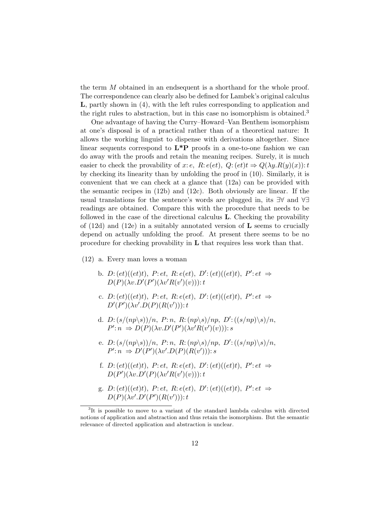the term M obtained in an endsequent is a shorthand for the whole proof. The correspondence can clearly also be defined for Lambek's original calculus L, partly shown in (4), with the left rules corresponding to application and the right rules to abstraction, but in this case no isomorphism is obtained.<sup>3</sup>

One advantage of having the Curry–Howard–Van Benthem isomorphism at one's disposal is of a practical rather than of a theoretical nature: It allows the working linguist to dispense with derivations altogether. Since linear sequents correspond to  $L^*P$  proofs in a one-to-one fashion we can do away with the proofs and retain the meaning recipes. Surely, it is much easier to check the provability of x: e, R:  $e(et)$ , Q:  $(et)t \Rightarrow Q(\lambda y.R(y)(x))$ : by checking its linearity than by unfolding the proof in (10). Similarly, it is convenient that we can check at a glance that (12a) can be provided with the semantic recipes in (12b) and (12c). Both obviously are linear. If the usual translations for the sentence's words are plugged in, its ∃∀ and ∀∃ readings are obtained. Compare this with the procedure that needs to be followed in the case of the directional calculus L. Checking the provability of  $(12d)$  and  $(12e)$  in a suitably annotated version of **L** seems to crucially depend on actually unfolding the proof. At present there seems to be no procedure for checking provability in  $L$  that requires less work than that.

- (12) a. Every man loves a woman
	- b. D:  $(et)((et)t)$ , P:  $et$ , R:  $e (et)$ , D':  $(et)((et)t)$ , P':  $et \Rightarrow$  $D(P)(\lambda v \cdot D'(P')(\lambda v' R(v')(v)))$ : t
	- c. D:  $(et)((et)t)$ , P:  $et$ , R:  $e (et)$ , D':  $(et)((et)t)$ , P':  $et \Rightarrow$  $D'(P')(\lambda v'.D(P)(R(v'))):t$
	- d.  $D: (s/(np\backslash s))/n$ ,  $P: n$ ,  $R: (np\backslash s)/np$ ,  $D': ((s/np)\backslash s)/n$ ,  $P' : n \Rightarrow D(P)(\lambda v \cdot D'(P')(\lambda v' R(v')(v))) : s$
	- e. D:  $(s/(np\backslash s))/n$ , P:n, R:  $(np\backslash s)/np$ , D':  $((s/np)\backslash s)/n$ ,  $P' : n \Rightarrow D'(P')(\lambda v' . D(P)(R(v'))) : s$
	- f. D:  $(et)((et)t)$ , P:  $et$ , R:  $e (et)$ , D':  $(et)((et)t)$ , P':  $et \Rightarrow$  $D(P')(\lambda v \cdot D'(P)(\lambda v' R(v')(v)))$ : t
	- g.  $D: (et)((et)t), P: et, R: e (et), D': (et)((et)t), P': et \Rightarrow$  $D(P)(\lambda v'.D'(P')(R(v')))$ :t

<sup>&</sup>lt;sup>3</sup>It is possible to move to a variant of the standard lambda calculus with directed notions of application and abstraction and thus retain the isomorphism. But the semantic relevance of directed application and abstraction is unclear.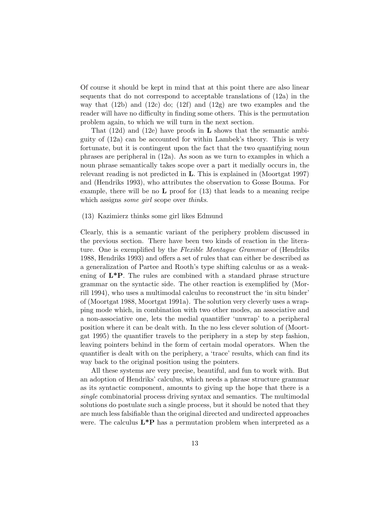Of course it should be kept in mind that at this point there are also linear sequents that do not correspond to acceptable translations of (12a) in the way that  $(12b)$  and  $(12c)$  do;  $(12f)$  and  $(12g)$  are two examples and the reader will have no difficulty in finding some others. This is the permutation problem again, to which we will turn in the next section.

That  $(12d)$  and  $(12e)$  have proofs in **L** shows that the semantic ambiguity of (12a) can be accounted for within Lambek's theory. This is very fortunate, but it is contingent upon the fact that the two quantifying noun phrases are peripheral in (12a). As soon as we turn to examples in which a noun phrase semantically takes scope over a part it medially occurs in, the relevant reading is not predicted in L. This is explained in (Moortgat 1997) and (Hendriks 1993), who attributes the observation to Gosse Bouma. For example, there will be no  $\bf{L}$  proof for (13) that leads to a meaning recipe which assigns *some girl* scope over *thinks*.

#### (13) Kazimierz thinks some girl likes Edmund

Clearly, this is a semantic variant of the periphery problem discussed in the previous section. There have been two kinds of reaction in the literature. One is exemplified by the Flexible Montague Grammar of (Hendriks 1988, Hendriks 1993) and offers a set of rules that can either be described as a generalization of Partee and Rooth's type shifting calculus or as a weakening of  $\mathbf{L}^* \mathbf{P}$ . The rules are combined with a standard phrase structure grammar on the syntactic side. The other reaction is exemplified by (Morrill 1994), who uses a multimodal calculus to reconstruct the 'in situ binder' of (Moortgat 1988, Moortgat 1991a). The solution very cleverly uses a wrapping mode which, in combination with two other modes, an associative and a non-associative one, lets the medial quantifier 'unwrap' to a peripheral position where it can be dealt with. In the no less clever solution of (Moortgat 1995) the quantifier travels to the periphery in a step by step fashion, leaving pointers behind in the form of certain modal operators. When the quantifier is dealt with on the periphery, a 'trace' results, which can find its way back to the original position using the pointers.

All these systems are very precise, beautiful, and fun to work with. But an adoption of Hendriks' calculus, which needs a phrase structure grammar as its syntactic component, amounts to giving up the hope that there is a single combinatorial process driving syntax and semantics. The multimodal solutions do postulate such a single process, but it should be noted that they are much less falsifiable than the original directed and undirected approaches were. The calculus  $L^*P$  has a permutation problem when interpreted as a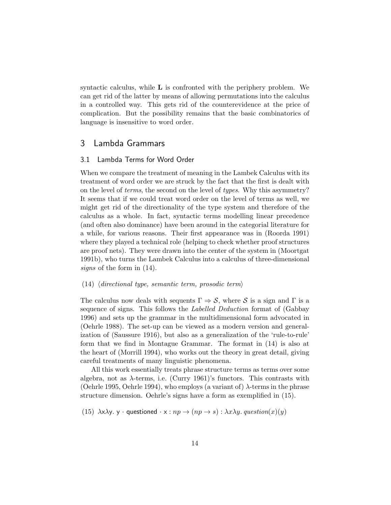syntactic calculus, while L is confronted with the periphery problem. We can get rid of the latter by means of allowing permutations into the calculus in a controlled way. This gets rid of the counterevidence at the price of complication. But the possibility remains that the basic combinatorics of language is insensitive to word order.

### 3 Lambda Grammars

#### 3.1 Lambda Terms for Word Order

When we compare the treatment of meaning in the Lambek Calculus with its treatment of word order we are struck by the fact that the first is dealt with on the level of terms, the second on the level of types. Why this asymmetry? It seems that if we could treat word order on the level of terms as well, we might get rid of the directionality of the type system and therefore of the calculus as a whole. In fact, syntactic terms modelling linear precedence (and often also dominance) have been around in the categorial literature for a while, for various reasons. Their first appearance was in (Roorda 1991) where they played a technical role (helping to check whether proof structures are proof nets). They were drawn into the center of the system in (Moortgat 1991b), who turns the Lambek Calculus into a calculus of three-dimensional signs of the form in  $(14)$ .

#### (14) (directional type, semantic term, prosodic term)

The calculus now deals with sequents  $\Gamma \Rightarrow S$ , where S is a sign and  $\Gamma$  is a sequence of signs. This follows the Labelled Deduction format of (Gabbay 1996) and sets up the grammar in the multidimensional form advocated in (Oehrle 1988). The set-up can be viewed as a modern version and generalization of (Saussure 1916), but also as a generalization of the 'rule-to-rule' form that we find in Montague Grammar. The format in (14) is also at the heart of (Morrill 1994), who works out the theory in great detail, giving careful treatments of many linguistic phenomena.

All this work essentially treats phrase structure terms as terms over some algebra, not as  $\lambda$ -terms, i.e. (Curry 1961)'s functors. This contrasts with (Oehrle 1995, Oehrle 1994), who employs (a variant of)  $\lambda$ -terms in the phrase structure dimension. Oehrle's signs have a form as exemplified in (15).

(15)  $\lambda x \lambda y$ . y · questioned ·  $x : np \rightarrow (np \rightarrow s) : \lambda x \lambda y$ . question(x)(y)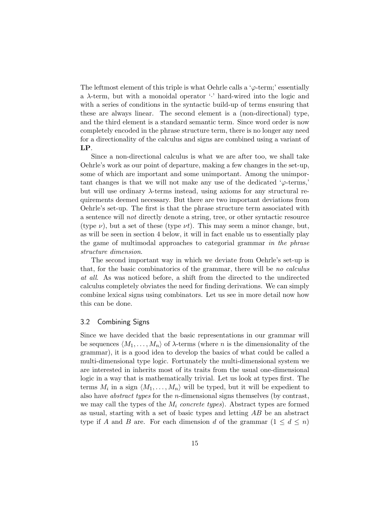The leftmost element of this triple is what Oehrle calls a ' $\varphi$ -term;' essentially a  $\lambda$ -term, but with a monoidal operator  $\cdot$  hard-wired into the logic and with a series of conditions in the syntactic build-up of terms ensuring that these are always linear. The second element is a (non-directional) type, and the third element is a standard semantic term. Since word order is now completely encoded in the phrase structure term, there is no longer any need for a directionality of the calculus and signs are combined using a variant of LP.

Since a non-directional calculus is what we are after too, we shall take Oehrle's work as our point of departure, making a few changes in the set-up, some of which are important and some unimportant. Among the unimportant changes is that we will not make any use of the dedicated  $\varphi$ -terms, but will use ordinary  $\lambda$ -terms instead, using axioms for any structural requirements deemed necessary. But there are two important deviations from Oehrle's set-up. The first is that the phrase structure term associated with a sentence will not directly denote a string, tree, or other syntactic resource (type  $\nu$ ), but a set of these (type  $\nu t$ ). This may seem a minor change, but, as will be seen in section 4 below, it will in fact enable us to essentially play the game of multimodal approaches to categorial grammar in the phrase structure dimension.

The second important way in which we deviate from Oehrle's set-up is that, for the basic combinatorics of the grammar, there will be no calculus at all. As was noticed before, a shift from the directed to the undirected calculus completely obviates the need for finding derivations. We can simply combine lexical signs using combinators. Let us see in more detail now how this can be done.

#### 3.2 Combining Signs

Since we have decided that the basic representations in our grammar will be sequences  $\langle M_1, \ldots, M_n \rangle$  of  $\lambda$ -terms (where n is the dimensionality of the grammar), it is a good idea to develop the basics of what could be called a multi-dimensional type logic. Fortunately the multi-dimensional system we are interested in inherits most of its traits from the usual one-dimensional logic in a way that is mathematically trivial. Let us look at types first. The terms  $M_i$  in a sign  $\langle M_1, \ldots, M_n \rangle$  will be typed, but it will be expedient to also have abstract types for the n-dimensional signs themselves (by contrast, we may call the types of the  $M_i$  concrete types). Abstract types are formed as usual, starting with a set of basic types and letting AB be an abstract type if A and B are. For each dimension d of the grammar  $(1 \leq d \leq n)$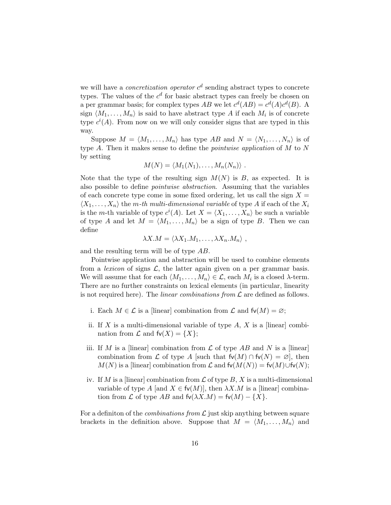we will have a *concretization operator*  $c^d$  sending abstract types to concrete types. The values of the  $c^d$  for basic abstract types can freely be chosen on a per grammar basis; for complex types  $AB$  we let  $c^d(AB) = c^d(A)c^d(B)$ . A sign  $\langle M_1, \ldots, M_n \rangle$  is said to have abstract type A if each  $M_i$  is of concrete type  $c^{i}(A)$ . From now on we will only consider signs that are typed in this way.

Suppose  $M = \langle M_1, \ldots, M_n \rangle$  has type AB and  $N = \langle N_1, \ldots, N_n \rangle$  is of type A. Then it makes sense to define the *pointwise application* of  $M$  to  $N$ by setting

$$
M(N) = \langle M_1(N_1), \ldots, M_n(N_n) \rangle.
$$

Note that the type of the resulting sign  $M(N)$  is B, as expected. It is also possible to define pointwise abstraction. Assuming that the variables of each concrete type come in some fixed ordering, let us call the sign  $X =$  $\langle X_1, \ldots, X_n \rangle$  the m-th multi-dimensional variable of type A if each of the  $X_i$ is the *m*-th variable of type  $c^{i}(A)$ . Let  $X = \langle X_1, \ldots, X_n \rangle$  be such a variable of type A and let  $M = \langle M_1, \ldots, M_n \rangle$  be a sign of type B. Then we can define

$$
\lambda X.M = \langle \lambda X_1.M_1, \ldots, \lambda X_n.M_n \rangle ,
$$

and the resulting term will be of type AB.

Pointwise application and abstraction will be used to combine elements from a *lexicon* of signs  $\mathcal{L}$ , the latter again given on a per grammar basis. We will assume that for each  $\langle M_1, \ldots, M_n \rangle \in \mathcal{L}$ , each  $M_i$  is a closed  $\lambda$ -term. There are no further constraints on lexical elements (in particular, linearity is not required here). The *linear combinations from*  $\mathcal L$  are defined as follows.

- i. Each  $M \in \mathcal{L}$  is a [linear] combination from  $\mathcal{L}$  and  $f\nu(M) = \varnothing$ ;
- ii. If X is a multi-dimensional variable of type  $A, X$  is a [linear] combination from  $\mathcal L$  and  $f\nu(X) = \{X\};$
- iii. If M is a [linear] combination from  $\mathcal L$  of type AB and N is a [linear] combination from  $\mathcal L$  of type A [such that  $f\nu(M) \cap f\nu(N) = \varnothing$ ], then  $M(N)$  is a [linear] combination from  $\mathcal L$  and  $f\nu(M(N)) = f\nu(M)\cup f\nu(N);$
- iv. If M is a linear combination from  $\mathcal L$  of type B, X is a multi-dimensional variable of type A [and  $X \in \mathfrak{f}(M)$ ], then  $\lambda X.M$  is a [linear] combination from  $\mathcal L$  of type AB and  $f\nu(\lambda X.M) = f\nu(M) - \{X\}.$

For a definition of the *combinations from*  $\mathcal L$  just skip anything between square brackets in the definition above. Suppose that  $M = \langle M_1, \ldots, M_n \rangle$  and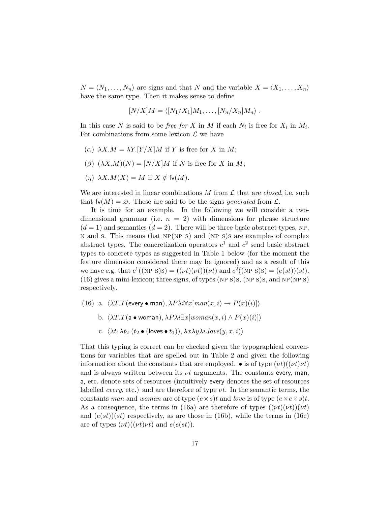$N = \langle N_1, \ldots, N_n \rangle$  are signs and that N and the variable  $X = \langle X_1, \ldots, X_n \rangle$ have the same type. Then it makes sense to define

$$
[N/X]M = \langle [N_1/X_1]M_1, \ldots, [N_n/X_n]M_n \rangle .
$$

In this case N is said to be *free for* X in M if each  $N_i$  is free for  $X_i$  in  $M_i$ . For combinations from some lexicon  $\mathcal L$  we have

- ( $\alpha$ )  $\lambda X.M = \lambda Y.[Y/X]M$  if Y is free for X in M;
- $(\beta)$   $(\lambda X.M)(N) = [N/X]M$  if N is free for X in M;
- (*η*)  $\lambda X.M(X) = M$  if  $X \notin \text{fv}(M)$ .

We are interested in linear combinations M from  $\mathcal L$  that are *closed*, i.e. such that  $f\nu(M) = \emptyset$ . These are said to be the signs generated from  $\mathcal{L}$ .

It is time for an example. In the following we will consider a twodimensional grammar (i.e.  $n = 2$ ) with dimensions for phrase structure  $(d = 1)$  and semantics  $(d = 2)$ . There will be three basic abstract types, NP,  $N$  and s. This means that  $NP(NP S)$  and  $(NP S)$ s are examples of complex abstract types. The concretization operators  $c^1$  and  $c^2$  send basic abstract types to concrete types as suggested in Table 1 below (for the moment the feature dimension considered there may be ignored) and as a result of this we have e.g. that  $c^1((\text{NP } S)S) = ((\nu t)(\nu t))(\nu t)$  and  $c^2((\text{NP } S)S) = (e(st))(st)$ .  $(16)$  gives a mini-lexicon; three signs, of types (NP s)s, (NP s)s, and NP(NP s) respectively.

- (16) a.  $\langle \lambda T.T$ (every man),  $\lambda P \lambda i \forall x [man(x, i) \rightarrow P(x)(i)]\rangle$ 
	- b.  $\langle \lambda T.T(a \bullet woman), \lambda P \lambda i \exists x[woman(x, i) \land P(x)(i)] \rangle$
	- c.  $\langle \lambda t_1 \lambda t_2(t_2 \bullet (\text{loves} \bullet t_1)), \lambda x \lambda y \lambda i. \text{love}(y, x, i) \rangle$

That this typing is correct can be checked given the typographical conventions for variables that are spelled out in Table 2 and given the following information about the constants that are employed.  $\bullet$  is of type  $(\nu t)(\nu t)\nu t)$ and is always written between its  $\nu t$  arguments. The constants every, man, a, etc. denote sets of resources (intuitively every denotes the set of resources labelled *every*, etc.) and are therefore of type  $\nu t$ . In the semantic terms, the constants man and woman are of type  $(e \times s)t$  and love is of type  $(e \times e \times s)t$ . As a consequence, the terms in (16a) are therefore of types  $((\nu t)(\nu t))(\nu t)$ and  $(e(st))(st)$  respectively, as are those in (16b), while the terms in (16c) are of types  $(\nu t)((\nu t)\nu t)$  and  $e(e(st))$ .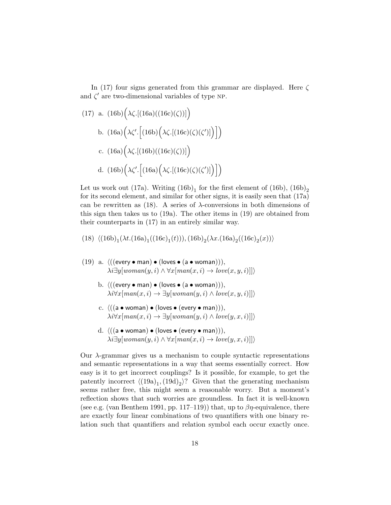In (17) four signs generated from this grammar are displayed. Here  $\zeta$ and  $\zeta'$  are two-dimensional variables of type NP.

(17) a. 
$$
(16b) \Big( \lambda \zeta \cdot \big[ (16a)((16c)(\zeta)) \big] \Big)
$$
  
\nb.  $(16a) \Big( \lambda \zeta' \cdot \Big[ (16b) \Big( \lambda \zeta \cdot \big[ (16c)(\zeta)(\zeta') \big] \Big) \Big]$   
\nc.  $(16a) \Big( \lambda \zeta \cdot \big[ (16b)((16c)(\zeta)) \big] \Big)$   
\nd.  $(16b) \Big( \lambda \zeta' \cdot \Big[ (16a) \Big( \lambda \zeta \cdot \big[ (16c)(\zeta)(\zeta') \big] \Big) \Big]$ 

Let us work out (17a). Writing  $(16b)<sub>1</sub>$  for the first element of  $(16b)$ ,  $(16b)<sub>2</sub>$ for its second element, and similar for other signs, it is easily seen that (17a) can be rewritten as (18). A series of  $\lambda$ -conversions in both dimensions of this sign then takes us to (19a). The other items in (19) are obtained from their counterparts in (17) in an entirely similar way.

(18)  $\langle (16b)_1(\lambda t.(16a)_1((16c)_1(t))),(16b)_2(\lambda x.(16a)_2((16c)_2(x))) \rangle$ 

- (19) a.  $\langle$  ((every man) (loves (a woman))),  $\lambda i \exists y [woman(y, i) \land \forall x [man(x, i) \rightarrow love(x, y, i)]]$ 
	- b.  $\langle ((every \bullet man) \bullet (loves \bullet (a \bullet woman))),$  $\lambda i \forall x [man(x, i) \rightarrow \exists y [woman(y, i) \land love(x, y, i)]]$
	- c.  $\langle ((a \bullet woman) \bullet (loves \bullet (every \bullet man))),$  $\lambda i \forall x [man(x, i) \rightarrow \exists y [woman(y, i) \land love(y, x, i)]]$
	- d.  $\langle ((a \bullet woman) \bullet (loves \bullet (every \bullet man))),$  $\lambda i \exists y [woman(y, i) \land \forall x [man(x, i) \rightarrow love(y, x, i)]]$

Our  $\lambda$ -grammar gives us a mechanism to couple syntactic representations and semantic representations in a way that seems essentially correct. How easy is it to get incorrect couplings? Is it possible, for example, to get the patently incorrect  $\langle (19a)_1, (19d)_2 \rangle$ ? Given that the generating mechanism seems rather free, this might seem a reasonable worry. But a moment's reflection shows that such worries are groundless. In fact it is well-known (see e.g. (van Benthem 1991, pp. 117–119)) that, up to  $\beta\eta$ -equivalence, there are exactly four linear combinations of two quantifiers with one binary relation such that quantifiers and relation symbol each occur exactly once.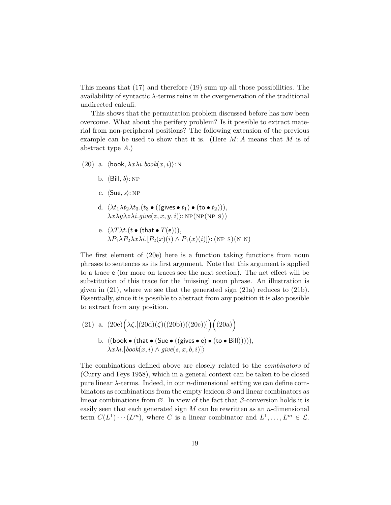This means that (17) and therefore (19) sum up all those possibilities. The availability of syntactic  $\lambda$ -terms reins in the overgeneration of the traditional undirected calculi.

This shows that the permutation problem discussed before has now been overcome. What about the perifery problem? Is it possible to extract material from non-peripheral positions? The following extension of the previous example can be used to show that it is. (Here  $M: A$  means that M is of abstract type A.)

- (20) a.  $\langle \text{book}, \lambda x \lambda i. \text{book}(x, i) \rangle : N$ 
	- b.  $\langle$ Bill,  $b\rangle$ : NP
	- c.  $\langle \textsf{Sue}, s \rangle$ : NP
	- d.  $\langle \lambda t_1 \lambda t_2 \lambda t_3 \cdot (t_3 \bullet ((\text{gives} \bullet t_1) \bullet (\text{to} \bullet t_2))),$  $\lambda x \lambda y \lambda z \lambda i.$ give $(z, x, y, i)$ : NP(NP(NP S))
	- e.  $\langle \lambda T \lambda t. (t \bullet (\text{that} \bullet T(e))),$  $\lambda P_1 \lambda P_2 \lambda x \lambda i$ .[ $P_2(x)(i) \wedge P_1(x)(i)$ ]: (NP S)(N N)

The first element of (20e) here is a function taking functions from noun phrases to sentences as its first argument. Note that this argument is applied to a trace e (for more on traces see the next section). The net effect will be substitution of this trace for the 'missing' noun phrase. An illustration is given in  $(21)$ , where we see that the generated sign  $(21a)$  reduces to  $(21b)$ . Essentially, since it is possible to abstract from any position it is also possible to extract from any position.

(21) a. 
$$
(20e) \left( \lambda \zeta \cdot [(20d)(\zeta)((20b))((20c))] \right) ((20a))
$$
  
b.  $\langle (\text{book} \bullet (\text{that} \bullet (\text{Sue} \bullet ((\text{gives} \bullet e) \bullet (\text{to} \bullet \text{Bill}))))), \lambda x \lambda i. [\text{book}(x, i) \land \text{give}(s, x, b, i)] \rangle$ 

The combinations defined above are closely related to the combinators of (Curry and Feys 1958), which in a general context can be taken to be closed pure linear  $\lambda$ -terms. Indeed, in our *n*-dimensional setting we can define combinators as combinations from the empty lexicon  $\varnothing$  and linear combinators as linear combinations from  $\varnothing$ . In view of the fact that  $\beta$ -conversion holds it is easily seen that each generated sign  $M$  can be rewritten as an  $n$ -dimensional term  $C(L^1)\cdots(L^m)$ , where C is a linear combinator and  $L^1,\ldots,L^m\in\mathcal{L}$ .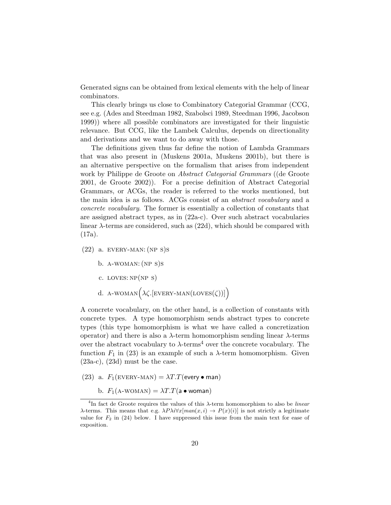Generated signs can be obtained from lexical elements with the help of linear combinators.

This clearly brings us close to Combinatory Categorial Grammar (CCG, see e.g. (Ades and Steedman 1982, Szabolsci 1989, Steedman 1996, Jacobson 1999)) where all possible combinators are investigated for their linguistic relevance. But CCG, like the Lambek Calculus, depends on directionality and derivations and we want to do away with those.

The definitions given thus far define the notion of Lambda Grammars that was also present in (Muskens 2001a, Muskens 2001b), but there is an alternative perspective on the formalism that arises from independent work by Philippe de Groote on *Abstract Categorial Grammars* ((de Groote 2001, de Groote 2002)). For a precise definition of Abstract Categorial Grammars, or ACGs, the reader is referred to the works mentioned, but the main idea is as follows. ACGs consist of an abstract vocabulary and a concrete vocabulary. The former is essentially a collection of constants that are assigned abstract types, as in (22a-c). Over such abstract vocabularies linear  $\lambda$ -terms are considered, such as (22d), which should be compared with (17a).

 $(22)$  a. EVERY-MAN: (NP S)S

- b. A-WOMAN:  $(NP S)S$
- c. LOVES:  $NP(NP S)$
- d. A-WOMAN $(\lambda \zeta$ . [EVERY-MAN(LOVES $(\zeta))$ ]

A concrete vocabulary, on the other hand, is a collection of constants with concrete types. A type homomorphism sends abstract types to concrete types (this type homomorphism is what we have called a concretization operator) and there is also a  $\lambda$ -term homomorphism sending linear  $\lambda$ -terms over the abstract vocabulary to  $\lambda$ -terms<sup>4</sup> over the concrete vocabulary. The function  $F_1$  in (23) is an example of such a  $\lambda$ -term homomorphism. Given  $(23a-c)$ ,  $(23d)$  must be the case.

(23) a.  $F_1(\text{EVERY-MAN}) = \lambda T.T(\text{every} \bullet \text{man})$ 

b.  $F_1(A-WOMAN) = \lambda T.T(a \bullet woman)$ 

<sup>&</sup>lt;sup>4</sup>In fact de Groote requires the values of this  $\lambda$ -term homomorphism to also be *linear* λ-terms. This means that e.g.  $λPλi∀x[man(x, i) → P(x)(i)]$  is not strictly a legitimate value for  $F_2$  in (24) below. I have suppressed this issue from the main text for ease of exposition.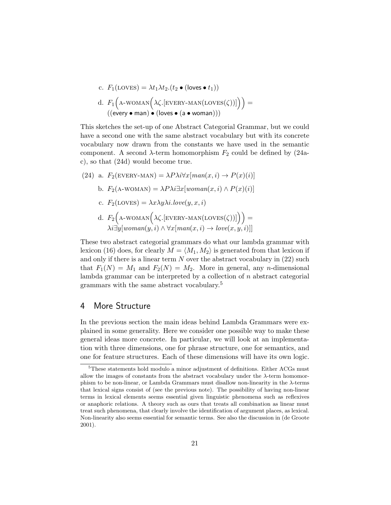c. 
$$
F_1(\text{LOVES}) = \lambda t_1 \lambda t_2.(t_2 \bullet (\text{loves} \bullet t_1))
$$
  
d.  $F_1(A\text{-WOMAN}(\lambda \zeta \cdot [\text{EVERY-MAN}(\text{LOVES}(\zeta))]) ) =$   
((every  $\bullet$  man)  $\bullet$  (loves  $\bullet$  (a  $\bullet$  woman)))

This sketches the set-up of one Abstract Categorial Grammar, but we could have a second one with the same abstract vocabulary but with its concrete vocabulary now drawn from the constants we have used in the semantic component. A second  $\lambda$ -term homomorphism  $F_2$  could be defined by (24ac), so that (24d) would become true.

(24) a.  $F_2(\text{EVERY-MAN}) = \lambda P \lambda i \forall x [man(x, i) \rightarrow P(x)(i)]$ b.  $F_2(A\text{-WOMAN}) = \lambda P \lambda i \exists x [woman(x, i) \wedge P(x)(i)]$ c.  $F_2(\text{LOVES}) = \lambda x \lambda y \lambda i. love(y, x, i)$ d.  $F_2(A-WOMAN(\lambda\zeta.[\text{EVERY-MAN}(\text{LOVES}(\zeta))])$  =  $\lambda i \exists y [woman(y, i) \land \forall x [man(x, i) \rightarrow love(x, y, i)]]$ 

These two abstract categorial grammars do what our lambda grammar with lexicon (16) does, for clearly  $M = \langle M_1, M_2 \rangle$  is generated from that lexicon if and only if there is a linear term  $N$  over the abstract vocabulary in  $(22)$  such that  $F_1(N) = M_1$  and  $F_2(N) = M_2$ . More in general, any *n*-dimensional lambda grammar can be interpreted by a collection of  $n$  abstract categorial grammars with the same abstract vocabulary.<sup>5</sup>

# 4 More Structure

In the previous section the main ideas behind Lambda Grammars were explained in some generality. Here we consider one possible way to make these general ideas more concrete. In particular, we will look at an implementation with three dimensions, one for phrase structure, one for semantics, and one for feature structures. Each of these dimensions will have its own logic.

 ${}^{5}$ These statements hold modulo a minor adjustment of definitions. Either ACGs must allow the images of constants from the abstract vocabulary under the  $\lambda$ -term homomorphism to be non-linear, or Lambda Grammars must disallow non-linearity in the  $\lambda$ -terms that lexical signs consist of (see the previous note). The possibility of having non-linear terms in lexical elements seems essential given linguistic phenomena such as reflexives or anaphoric relations. A theory such as ours that treats all combination as linear must treat such phenomena, that clearly involve the identification of argument places, as lexical. Non-linearity also seems essential for semantic terms. See also the discussion in (de Groote 2001).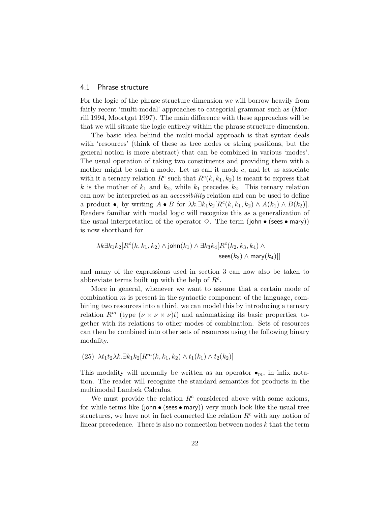#### 4.1 Phrase structure

For the logic of the phrase structure dimension we will borrow heavily from fairly recent 'multi-modal' approaches to categorial grammar such as (Morrill 1994, Moortgat 1997). The main difference with these approaches will be that we will situate the logic entirely within the phrase structure dimension.

The basic idea behind the multi-modal approach is that syntax deals with 'resources' (think of these as tree nodes or string positions, but the general notion is more abstract) that can be combined in various 'modes'. The usual operation of taking two constituents and providing them with a mother might be such a mode. Let us call it mode  $c$ , and let us associate with it a ternary relation  $R^c$  such that  $R^c(k, k_1, k_2)$  is meant to express that k is the mother of  $k_1$  and  $k_2$ , while  $k_1$  precedes  $k_2$ . This ternary relation can now be interpreted as an accessibility relation and can be used to define a product •, by writing  $A \bullet B$  for  $\lambda k. \exists k_1 k_2 [R^c(k, k_1, k_2) \wedge A(k_1) \wedge B(k_2)].$ Readers familiar with modal logic will recognize this as a generalization of the usual interpretation of the operator  $\diamond$ . The term (john  $\bullet$  (sees  $\bullet$  mary)) is now shorthand for

$$
\lambda k \exists k_1 k_2 [R^c(k, k_1, k_2) \land \mathsf{john}(k_1) \land \exists k_3 k_4 [R^c(k_2, k_3, k_4) \land \mathsf{sees}(k_3) \land \mathsf{many}(k_4)]]
$$

and many of the expressions used in section 3 can now also be taken to abbreviate terms built up with the help of  $R^c$ .

More in general, whenever we want to assume that a certain mode of combination  $m$  is present in the syntactic component of the language, combining two resources into a third, we can model this by introducing a ternary relation  $R^m$  (type  $(\nu \times \nu \times \nu)t$ ) and axiomatizing its basic properties, together with its relations to other modes of combination. Sets of resources can then be combined into other sets of resources using the following binary modality.

(25) 
$$
\lambda t_1 t_2 \lambda k. \exists k_1 k_2 [R^m(k, k_1, k_2) \wedge t_1(k_1) \wedge t_2(k_2)]
$$

This modality will normally be written as an operator  $\bullet_m$ , in infix notation. The reader will recognize the standard semantics for products in the multimodal Lambek Calculus.

We must provide the relation  $R<sup>c</sup>$  considered above with some axioms, for while terms like (john  $\bullet$  (sees  $\bullet$  mary)) very much look like the usual tree structures, we have not in fact connected the relation  $R<sup>c</sup>$  with any notion of linear precedence. There is also no connection between nodes k that the term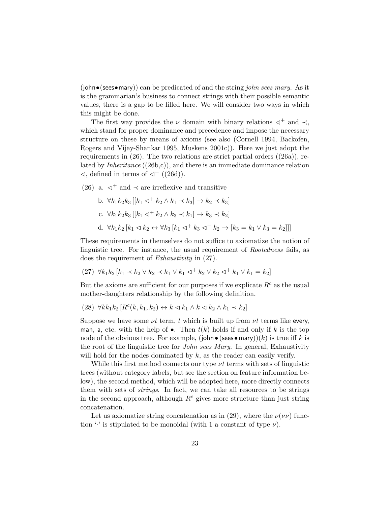(john•(sees•mary)) can be predicated of and the string *john sees mary*. As it is the grammarian's business to connect strings with their possible semantic values, there is a gap to be filled here. We will consider two ways in which this might be done.

The first way provides the  $\nu$  domain with binary relations  $\triangleleft^+$  and  $\triangleleft$ , which stand for proper dominance and precedence and impose the necessary structure on these by means of axioms (see also (Cornell 1994, Backofen, Rogers and Vijay-Shankar 1995, Muskens 2001c)). Here we just adopt the requirements in  $(26)$ . The two relations are strict partial orders  $((26a))$ , related by *Inheritance*  $((26b,c))$ , and there is an immediate dominance relation  $\triangleleft$ , defined in terms of  $\triangleleft^+$  ((26d)).

(26) a.  $\triangleleft^+$  and  $\triangleleft$  are irreflexive and transitive

b. 
$$
\forall k_1 k_2 k_3 [[k_1 \lhd^+ k_2 \wedge k_1 \prec k_3] \rightarrow k_2 \prec k_3]
$$
  
\nc.  $\forall k_1 k_2 k_3 [[k_1 \lhd^+ k_2 \wedge k_3 \prec k_1] \rightarrow k_3 \prec k_2]$   
\nd.  $\forall k_1 k_2 [k_1 \lhd k_2 \leftrightarrow \forall k_3 [k_1 \lhd^+ k_3 \lhd^+ k_2 \rightarrow [k_3 = k_1 \vee k_3 = k_2]]]$ 

These requirements in themselves do not suffice to axiomatize the notion of linguistic tree. For instance, the usual requirement of Rootedness fails, as does the requirement of *Exhaustivity* in  $(27)$ .

(27) 
$$
\forall k_1 k_2 [k_1 \prec k_2 \lor k_2 \prec k_1 \lor k_1 \lhd^+ k_2 \lor k_2 \lhd^+ k_1 \lor k_1 = k_2]
$$

But the axioms are sufficient for our purposes if we explicate  $R<sup>c</sup>$  as the usual mother-daughters relationship by the following definition.

(28) 
$$
\forall kk_1k_2 [R^c(k, k_1, k_2) \leftrightarrow k \prec k_1 \land k \prec k_2 \land k_1 \prec k_2]
$$

Suppose we have some  $\nu t$  term, t which is built up from  $\nu t$  terms like every, man, a, etc. with the help of  $\bullet$ . Then  $t(k)$  holds if and only if k is the top node of the obvious tree. For example,  $(\mathsf{join} \bullet (\mathsf{sees} \bullet \mathsf{mary}))(k)$  is true iff k is the root of the linguistic tree for John sees Mary. In general, Exhaustivity will hold for the nodes dominated by  $k$ , as the reader can easily verify.

While this first method connects our type  $\nu t$  terms with sets of linguistic trees (without category labels, but see the section on feature information below), the second method, which will be adopted here, more directly connects them with sets of strings. In fact, we can take all resources to be strings in the second approach, although  $R<sup>c</sup>$  gives more structure than just string concatenation.

Let us axiomatize string concatenation as in (29), where the  $\nu(\nu\nu)$  function  $\cdot$  is stipulated to be monoidal (with 1 a constant of type  $\nu$ ).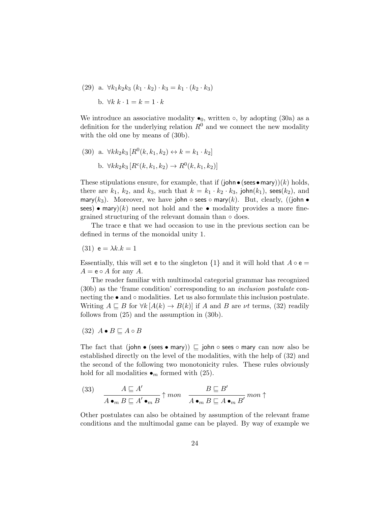(29) a. 
$$
\forall k_1 k_2 k_3 (k_1 \cdot k_2) \cdot k_3 = k_1 \cdot (k_2 \cdot k_3)
$$
  
b.  $\forall k k \cdot 1 = k = 1 \cdot k$ 

We introduce an associative modality  $\bullet_0$ , written  $\circ$ , by adopting (30a) as a definition for the underlying relation  $R^0$  and we connect the new modality with the old one by means of (30b).

(30) a. 
$$
\forall k k_2 k_3 [R^0(k, k_1, k_2) \leftrightarrow k = k_1 \cdot k_2]
$$
  
b.  $\forall k k_2 k_3 [R^c(k, k_1, k_2) \to R^0(k, k_1, k_2)]$ 

These stipulations ensure, for example, that if (john  $\bullet$  (sees $\bullet$  mary))(k) holds, there are  $k_1$ ,  $k_2$ , and  $k_3$ , such that  $k = k_1 \cdot k_2 \cdot k_3$ , john $(k_1)$ , sees $(k_2)$ , and mary( $k_3$ ). Moreover, we have john  $\circ$  sees  $\circ$  mary( $k$ ). But, clearly, ((john  $\bullet$ sees) • mary)(k) need not hold and the • modality provides a more finegrained structuring of the relevant domain than ◦ does.

The trace e that we had occasion to use in the previous section can be defined in terms of the monoidal unity 1.

(31) 
$$
e = \lambda k \cdot k = 1
$$

Essentially, this will set e to the singleton  $\{1\}$  and it will hold that  $A \circ e =$  $A = e \circ A$  for any A.

The reader familiar with multimodal categorial grammar has recognized (30b) as the 'frame condition' corresponding to an inclusion postulate connecting the  $\bullet$  and  $\circ$  modalities. Let us also formulate this inclusion postulate. Writing  $A \sqsubseteq B$  for  $\forall k [A(k) \rightarrow B(k)]$  if A and B are  $\nu t$  terms, (32) readily follows from (25) and the assumption in (30b).

 $(32)$   $A \bullet B \sqsubseteq A \circ B$ 

The fact that (john • (sees • mary))  $\subseteq$  john  $\circ$  sees  $\circ$  mary can now also be established directly on the level of the modalities, with the help of (32) and the second of the following two monotonicity rules. These rules obviously hold for all modalities  $\bullet_m$  formed with (25).

(33) 
$$
A \subseteq A'
$$
  

$$
A \bullet_m B \subseteq A' \bullet_m B \uparrow mon \quad B \subseteq B'
$$
  

$$
A \bullet_m B \subseteq A \bullet_m B' \mod \uparrow
$$

Other postulates can also be obtained by assumption of the relevant frame conditions and the multimodal game can be played. By way of example we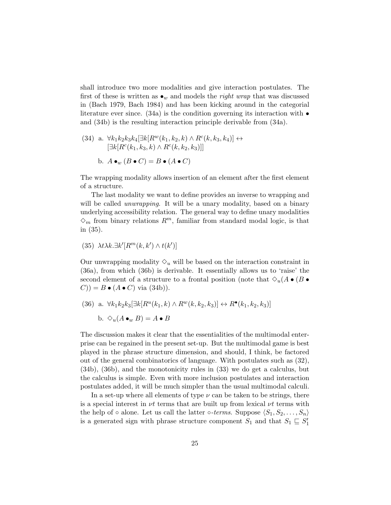shall introduce two more modalities and give interaction postulates. The first of these is written as  $\bullet_w$  and models the *right wrap* that was discussed in (Bach 1979, Bach 1984) and has been kicking around in the categorial literature ever since.  $(34a)$  is the condition governing its interaction with  $\bullet$ and (34b) is the resulting interaction principle derivable from (34a).

(34) a. 
$$
\forall k_1 k_2 k_3 k_4 [\exists k [R^w(k_1, k_2, k) \land R^c(k, k_3, k_4)] \leftrightarrow
$$
  
\n $[\exists k [R^c(k_1, k_3, k) \land R^c(k, k_2, k_3)]]$   
\nb.  $A \bullet_w (B \bullet C) = B \bullet (A \bullet C)$ 

The wrapping modality allows insertion of an element after the first element of a structure.

The last modality we want to define provides an inverse to wrapping and will be called *unwrapping*. It will be a unary modality, based on a binary underlying accessibility relation. The general way to define unary modalities  $\Diamond_m$  from binary relations  $R^m$ , familiar from standard modal logic, is that in (35).

(35) 
$$
\lambda t \lambda k \exists k'[R^m(k, k') \wedge t(k')]
$$

Our unwrapping modality  $\Diamond_u$  will be based on the interaction constraint in (36a), from which (36b) is derivable. It essentially allows us to 'raise' the second element of a structure to a frontal position (note that  $\Diamond_u(A \bullet (B \bullet$  $(C)$ ) =  $B \bullet (A \bullet C)$  via (34b)).

(36) a. 
$$
\forall k_1 k_2 k_3 [\exists k [R^u(k_1, k) \land R^w(k, k_2, k_3)] \leftrightarrow R^{\bullet}(k_1, k_2, k_3)]
$$
  
b.  $\diamond_u (A \bullet_w B) = A \bullet B$ 

The discussion makes it clear that the essentialities of the multimodal enterprise can be regained in the present set-up. But the multimodal game is best played in the phrase structure dimension, and should, I think, be factored out of the general combinatorics of language. With postulates such as (32), (34b), (36b), and the monotonicity rules in (33) we do get a calculus, but the calculus is simple. Even with more inclusion postulates and interaction postulates added, it will be much simpler than the usual multimodal calculi.

In a set-up where all elements of type  $\nu$  can be taken to be strings, there is a special interest in  $\nu t$  terms that are built up from lexical  $\nu t$  terms with the help of ∘ alone. Let us call the latter ∘-terms. Suppose  $\langle S_1, S_2, \ldots, S_n \rangle$ is a generated sign with phrase structure component  $S_1$  and that  $S_1 \subseteq S_1'$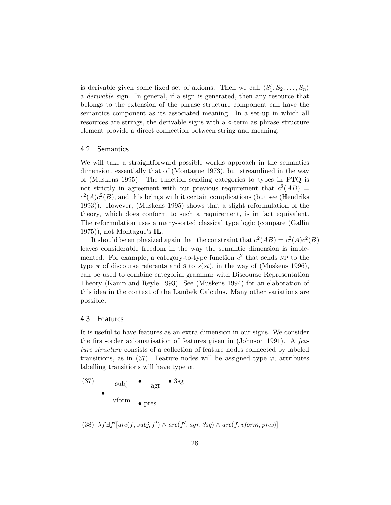is derivable given some fixed set of axioms. Then we call  $\langle S_1', S_2, \ldots, S_n \rangle$ a derivable sign. In general, if a sign is generated, then any resource that belongs to the extension of the phrase structure component can have the semantics component as its associated meaning. In a set-up in which all resources are strings, the derivable signs with a ◦-term as phrase structure element provide a direct connection between string and meaning.

#### 4.2 Semantics

We will take a straightforward possible worlds approach in the semantics dimension, essentially that of (Montague 1973), but streamlined in the way of (Muskens 1995). The function sending categories to types in PTQ is not strictly in agreement with our previous requirement that  $c^2(AB)$  =  $c^2(A)c^2(B)$ , and this brings with it certain complications (but see (Hendriks 1993)). However, (Muskens 1995) shows that a slight reformulation of the theory, which does conform to such a requirement, is in fact equivalent. The reformulation uses a many-sorted classical type logic (compare (Gallin 1975)), not Montague's IL.

It should be emphasized again that the constraint that  $c^2(AB) = c^2(A)c^2(B)$ leaves considerable freedom in the way the semantic dimension is implemented. For example, a category-to-type function  $c^2$  that sends NP to the type  $\pi$  of discourse referents and s to  $s(st)$ , in the way of (Muskens 1996), can be used to combine categorial grammar with Discourse Representation Theory (Kamp and Reyle 1993). See (Muskens 1994) for an elaboration of this idea in the context of the Lambek Calculus. Many other variations are possible.

#### 4.3 Features

It is useful to have features as an extra dimension in our signs. We consider the first-order axiomatisation of features given in (Johnson 1991). A feature structure consists of a collection of feature nodes connected by labeled transitions, as in (37). Feature nodes will be assigned type  $\varphi$ ; attributes labelling transitions will have type  $\alpha$ .

$$
\begin{array}{cccc}\n(37) & & \text{subj} & \bullet & \text{agr} & \bullet & 3\text{sg} \\
\bullet & & & \text{vform} & \bullet & \text{pres}\n\end{array}
$$

(38)  $\lambda f \exists f' [arc(f, subj, f') \wedge arc(f', agr, 3sg) \wedge arc(f, vform, pres)]$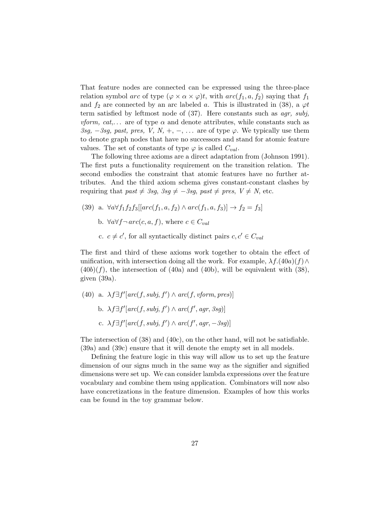That feature nodes are connected can be expressed using the three-place relation symbol arc of type  $(\varphi \times \alpha \times \varphi)t$ , with  $arc(f_1, a, f_2)$  saying that  $f_1$ and  $f_2$  are connected by an arc labeled a. This is illustrated in (38), a  $\varphi t$ term satisfied by leftmost node of  $(37)$ . Here constants such as *agr*, *subj*, *vform, cat,...* are of type  $\alpha$  and denote attributes, while constants such as 3sg,  $-3sg$ , past, pres, V, N, +, -, ... are of type  $\varphi$ . We typically use them to denote graph nodes that have no successors and stand for atomic feature values. The set of constants of type  $\varphi$  is called  $C_{val}$ .

The following three axioms are a direct adaptation from (Johnson 1991). The first puts a functionality requirement on the transition relation. The second embodies the constraint that atomic features have no further attributes. And the third axiom schema gives constant-constant clashes by requiring that  $past \neq 3sg, 3sg \neq -3sg, past \neq pres, V \neq N$ , etc.

- (39) a.  $\forall a \forall f_1 f_2 f_3[[arc(f_1, a, f_2) \land arc(f_1, a, f_3)] \rightarrow f_2 = f_3]$ b.  $\forall a \forall f \neg \text{arc}(c, a, f)$ , where  $c \in C_{val}$ 
	- c.  $c \neq c'$ , for all syntactically distinct pairs  $c, c' \in C_{val}$

The first and third of these axioms work together to obtain the effect of unification, with intersection doing all the work. For example,  $\lambda f.(40a)(f) \wedge$  $(40b)(f)$ , the intersection of (40a) and (40b), will be equivalent with (38), given (39a).

(40) a. 
$$
\lambda f \exists f' [arc(f, subj, f') \land arc(f, vform, pres)]
$$
  
b.  $\lambda f \exists f' [arc(f, subj, f') \land arc(f', agr, 3sg)]$   
c.  $\lambda f \exists f' [arc(f, subj, f') \land arc(f', agr, -3sg)]$ 

The intersection of (38) and (40c), on the other hand, will not be satisfiable. (39a) and (39c) ensure that it will denote the empty set in all models.

Defining the feature logic in this way will allow us to set up the feature dimension of our signs much in the same way as the signifier and signified dimensions were set up. We can consider lambda expressions over the feature vocabulary and combine them using application. Combinators will now also have concretizations in the feature dimension. Examples of how this works can be found in the toy grammar below.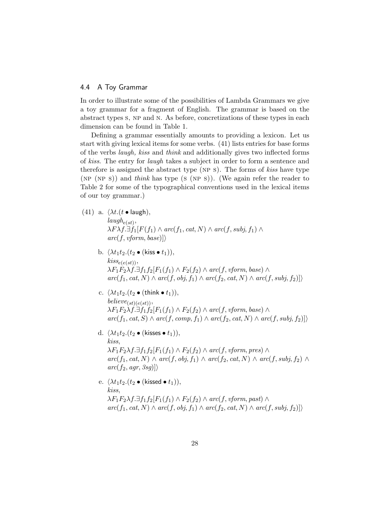#### 4.4 A Toy Grammar

In order to illustrate some of the possibilities of Lambda Grammars we give a toy grammar for a fragment of English. The grammar is based on the abstract types s, np and n. As before, concretizations of these types in each dimension can be found in Table 1.

Defining a grammar essentially amounts to providing a lexicon. Let us start with giving lexical items for some verbs. (41) lists entries for base forms of the verbs laugh, kiss and think and additionally gives two inflected forms of kiss. The entry for laugh takes a subject in order to form a sentence and therefore is assigned the abstract type (NP s). The forms of *kiss* have type (NP (NP s)) and think has type  $(S (NP S))$ . (We again refer the reader to Table 2 for some of the typographical conventions used in the lexical items of our toy grammar.)

- (41) a.  $\langle \lambda t. (t \bullet \text{laugh}),$  $laugh_{e(st)},$  $\lambda F \lambda f. \exists f_1[F(f_1) \wedge arc(f_1, cat, N) \wedge arc(f, subj, f_1) \wedge$  $arc(f, vform, base)]$ 
	- b.  $\langle \lambda t_1 t_2. (t_2 \bullet (\text{kiss} \bullet t_1)),$  $kiss_{e(e(st))},$  $\lambda F_1F_2\lambda f.\exists f_1f_2[F_1(f_1)\wedge F_2(f_2)\wedge arc(f,vform, base)\wedge$  $arc(f_1, cat, N) \wedge arc(f, obj, f_1) \wedge arc(f_2, cat, N) \wedge arc(f, subj, f_2))$
	- c.  $\langle \lambda t_1 t_2. (t_2 \bullet (\text{think} \bullet t_1)),$  $belineve_{(st)(e(st))},$  $\lambda F_1F_2\lambda f.\exists f_1f_2[F_1(f_1) \wedge F_2(f_2) \wedge arc(f,vform, base) \wedge$  $\mathit{arc}(f_1, \mathit{cat}, S) \land \mathit{arc}(f, \mathit{comp}, f_1) \land \mathit{arc}(f_2, \mathit{cat}, N) \land \mathit{arc}(f, \mathit{subj}, f_2))$
	- d.  $\langle \lambda t_1 t_2. (t_2 \bullet (\text{kisses} \bullet t_1)),$ kiss,  $\lambda F_1F_2\lambda f.\exists f_1f_2[F_1(f_1)\wedge F_2(f_2)\wedge arc(f, vform, pres)\wedge$  $\mathit{arc}(f_1, \mathit{cat}, N) \wedge \mathit{arc}(f, \mathit{obj}, f_1) \wedge \mathit{arc}(f_2, \mathit{cat}, N) \wedge \mathit{arc}(f, \mathit{subj}, f_2) \wedge$  $\{arc(f_2, agr, 3sg)]\}$
	- e.  $\langle \lambda t_1 t_2. (t_2 \bullet (\text{kissed} \bullet t_1)),$ kiss,  $\lambda F_1F_2\lambda f.\exists f_1f_2[F_1(f_1)\wedge F_2(f_2)\wedge arc(f,vform, past)\wedge$  $\mathit{arc}(f_1, \mathit{cat}, N) \land \mathit{arc}(f, \mathit{obj}, f_1) \land \mathit{arc}(f_2, \mathit{cat}, N) \land \mathit{arc}(f, \mathit{subj}, f_2)$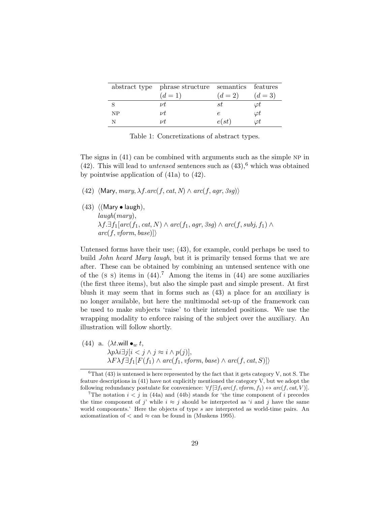| abstract type | phrase structure semantics |         | features    |
|---------------|----------------------------|---------|-------------|
|               | $(d = 1)$                  | $(d=2)$ | $(d=3)$     |
|               | νt                         | st      | $\varphi t$ |
| NP            | νt                         |         | $\varphi t$ |
|               | νt                         | e(st)   | ωt          |

Table 1: Concretizations of abstract types.

The signs in  $(41)$  can be combined with arguments such as the simple NP in (42). This will lead to *untensed* sentences such as  $(43)$ , <sup>6</sup> which was obtained by pointwise application of (41a) to (42).

- (42)  $\langle$ Mary, mary,  $\lambda f. arc(f, cat, N) \wedge arc(f, agr, 3sq) \rangle$
- $(43)$   $\langle$  (Mary laugh), laugh(mary),  $\lambda f.\exists f_1[arc(f_1, cat, N) \wedge arc(f_1, agr, 3sg) \wedge arc(f, subj, f_1) \wedge$  $\{arc(f, vform, base)\}\$

Untensed forms have their use; (43), for example, could perhaps be used to build John heard Mary laugh, but it is primarily tensed forms that we are after. These can be obtained by combining an untensed sentence with one of the (s s) items in  $(44)$ .<sup>7</sup> Among the items in  $(44)$  are some auxiliaries (the first three items), but also the simple past and simple present. At first blush it may seem that in forms such as (43) a place for an auxiliary is no longer available, but here the multimodal set-up of the framework can be used to make subjects 'raise' to their intended positions. We use the wrapping modality to enforce raising of the subject over the auxiliary. An illustration will follow shortly.

(44) a.  $\langle \lambda t$ .will  $\bullet_w t$ ,  $\lambda p \lambda i \exists j [i \lt j \land j \approx i \land p(j)],$  $\lambda F \lambda f \exists f_1[F(f_1) \wedge arc(f_1, vform, base) \wedge arc(f, cat, S)]$ 

 $6$ That (43) is untensed is here represented by the fact that it gets category V, not S. The feature descriptions in (41) have not explicitly mentioned the category V, but we adopt the following redundancy postulate for convenience:  $\forall f[\exists f_1 \text{arc}(f, \text{vform}, f_1) \leftrightarrow \text{arc}(f, \text{cat}, V)]$ .

<sup>&</sup>lt;sup>7</sup>The notation  $i < j$  in (44a) and (44b) stands for 'the time component of i precedes the time component of j' while  $i \approx j$  should be interpreted as 'i and j have the same world components.' Here the objects of type s are interpreted as world-time pairs. An axiomatization of  $\lt$  and  $\approx$  can be found in (Muskens 1995).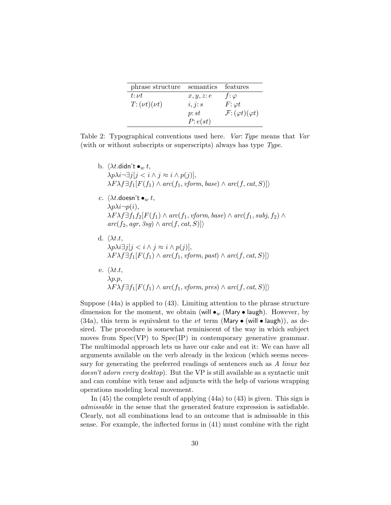| phrase structure    | semantics     | features                              |
|---------------------|---------------|---------------------------------------|
| $t$ : $\nu t$       | $x, y, z$ : e | $f$ : $\varphi$                       |
| $T: (\nu t)(\nu t)$ | i, j: s       | $F$ : $\varphi t$                     |
|                     | p:st          | $\mathcal{F}: (\varphi t)(\varphi t)$ |
|                     | P: e(st)      |                                       |

Table 2: Typographical conventions used here. Var: Type means that Var (with or without subscripts or superscripts) always has type Type.

- b.  $\langle \lambda t$ .didn't  $\bullet_w t$ ,  $\lambda p \lambda i \neg \exists j [j \langle i \wedge j \approx i \wedge p(j)],$  $\lambda F \lambda f \exists f_1[F(f_1) \wedge arc(f_1, vform, base) \wedge arc(f, cat, S)]$ c.  $\langle \lambda t$ .doesn't  $\bullet_w t$ ,
- $\lambda p \lambda i \neg p(i),$  $\lambda F \lambda f \exists f_1 f_2[F(f_1) \wedge arc(f_1, vform, base) \wedge arc(f_1, subj, f_2) \wedge$  $\{arc(f_2, agr, 3sg) \wedge arc(f, cat, S)\}\$
- d.  $\langle \lambda t. t, \rangle$  $\lambda p \lambda i \exists j [j \leq i \wedge j \approx i \wedge p(j)],$  $\lambda F \lambda f \exists f_1[F(f_1) \wedge arc(f_1, vform, past) \wedge arc(f, cat, S)]$
- e.  $\langle \lambda t. t, \rangle$  $λp.p,$  $\lambda F \lambda f \exists f_1[F(f_1) \wedge arc(f_1, vform, pres) \wedge arc(f, cat, S)]$

Suppose (44a) is applied to (43). Limiting attention to the phrase structure dimension for the moment, we obtain (will  $\bullet_w$  (Mary  $\bullet$  laugh). However, by (34a), this term is equivalent to the  $\nu t$  term (Mary  $\bullet$  (will  $\bullet$  laugh)), as desired. The procedure is somewhat reminiscent of the way in which subject moves from Spec(VP) to Spec(IP) in contemporary generative grammar. The multimodal approach lets us have our cake and eat it: We can have all arguments available on the verb already in the lexicon (which seems necessary for generating the preferred readings of sentences such as A linux box doesn't adorn every desktop). But the VP is still available as a syntactic unit and can combine with tense and adjuncts with the help of various wrapping operations modeling local movement.

In (45) the complete result of applying (44a) to (43) is given. This sign is admissable in the sense that the generated feature expression is satisfiable. Clearly, not all combinations lead to an outcome that is admissable in this sense. For example, the inflected forms in (41) must combine with the right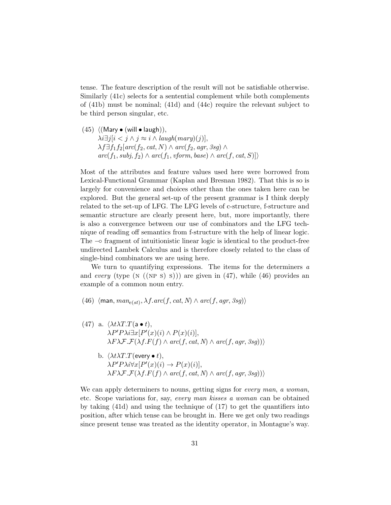tense. The feature description of the result will not be satisfiable otherwise. Similarly (41c) selects for a sentential complement while both complements of (41b) must be nominal; (41d) and (44c) require the relevant subject to be third person singular, etc.

(45)  $\langle$  (Mary  $\bullet$  (will  $\bullet$  laugh)),  $\lambda i \exists j [i \le j \land j \approx i \land \text{laugh}(\text{mary})(j)],$  $\lambda f \exists f_1 f_2[arc(f_2, cat, N) \wedge arc(f_2, agr, 3sg) \wedge$  $arc(f_1, subj, f_2) \wedge arc(f_1, vform, base) \wedge arc(f, cat, S))$ 

Most of the attributes and feature values used here were borrowed from Lexical-Functional Grammar (Kaplan and Bresnan 1982). That this is so is largely for convenience and choices other than the ones taken here can be explored. But the general set-up of the present grammar is I think deeply related to the set-up of LFG. The LFG levels of c-structure, f-structure and semantic structure are clearly present here, but, more importantly, there is also a convergence between our use of combinators and the LFG technique of reading off semantics from f-structure with the help of linear logic. The  $\sim$  fragment of intuitionistic linear logic is identical to the product-free undirected Lambek Calculus and is therefore closely related to the class of single-bind combinators we are using here.

We turn to quantifying expressions. The items for the determiners  $a$ and every (type  $(N (NP S) S))$ ) are given in (47), while (46) provides an example of a common noun entry.

(46)  $\langle \text{man}, \text{man}_{e(st)}, \lambda f.\text{arc}(f, \text{cat}, N) \wedge \text{arc}(f, \text{agr}, 3sg) \rangle$ 

(47) a.  $\langle \lambda t \lambda T.T$ (a • t),  $\lambda P' P \lambda i \exists x [P'(x)(i) \wedge P(x)(i)],$  $\lambda F \lambda \mathcal{F} . \mathcal{F}(\lambda f.F(f) \wedge arc(f, cat, N) \wedge arc(f, agr, 3sq))$ b.  $\langle \lambda t \lambda T.T$ (every  $\bullet t$ ),  $\lambda P' P \lambda i \forall x [P'(x)(i) \rightarrow P(x)(i)],$  $\lambda F \lambda \mathcal{F} . \mathcal{F}(\lambda f.F(f) \wedge arc(f, cat, N) \wedge arc(f, agr, 3sq))$ 

We can apply determiners to nouns, getting signs for every man, a woman, etc. Scope variations for, say, every man kisses a woman can be obtained by taking (41d) and using the technique of (17) to get the quantifiers into position, after which tense can be brought in. Here we get only two readings since present tense was treated as the identity operator, in Montague's way.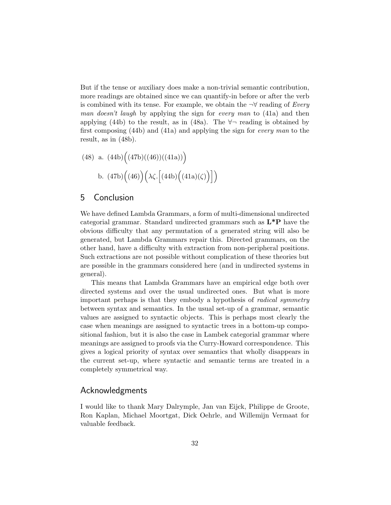But if the tense or auxiliary does make a non-trivial semantic contribution, more readings are obtained since we can quantify-in before or after the verb is combined with its tense. For example, we obtain the  $\neg\forall$  reading of Every man doesn't laugh by applying the sign for every man to (41a) and then applying (44b) to the result, as in (48a). The  $\forall$  - reading is obtained by first composing (44b) and (41a) and applying the sign for every man to the result, as in (48b).

(48) a. 
$$
(44b) ((47b)((46))((41a)))
$$
  
b.  $(47b) ((46)) (\lambda \zeta. [(44b) ((41a)(\zeta))])$ 

## 5 Conclusion

We have defined Lambda Grammars, a form of multi-dimensional undirected categorial grammar. Standard undirected grammars such as  $L^*P$  have the obvious difficulty that any permutation of a generated string will also be generated, but Lambda Grammars repair this. Directed grammars, on the other hand, have a difficulty with extraction from non-peripheral positions. Such extractions are not possible without complication of these theories but are possible in the grammars considered here (and in undirected systems in general).

This means that Lambda Grammars have an empirical edge both over directed systems and over the usual undirected ones. But what is more important perhaps is that they embody a hypothesis of radical symmetry between syntax and semantics. In the usual set-up of a grammar, semantic values are assigned to syntactic objects. This is perhaps most clearly the case when meanings are assigned to syntactic trees in a bottom-up compositional fashion, but it is also the case in Lambek categorial grammar where meanings are assigned to proofs via the Curry-Howard correspondence. This gives a logical priority of syntax over semantics that wholly disappears in the current set-up, where syntactic and semantic terms are treated in a completely symmetrical way.

### Acknowledgments

I would like to thank Mary Dalrymple, Jan van Eijck, Philippe de Groote, Ron Kaplan, Michael Moortgat, Dick Oehrle, and Willemijn Vermaat for valuable feedback.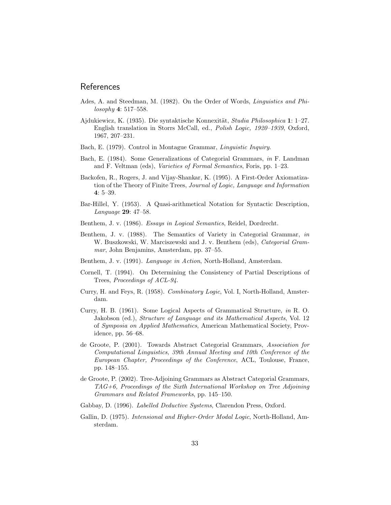### **References**

- Ades, A. and Steedman, M. (1982). On the Order of Words, Linguistics and Philosophy 4: 517–558.
- Ajdukiewicz, K. (1935). Die syntaktische Konnexität, Studia Philosophica 1: 1–27. English translation in Storrs McCall, ed., Polish Logic, 1920–1939, Oxford, 1967, 207–231.
- Bach, E. (1979). Control in Montague Grammar, Linguistic Inquiry.
- Bach, E. (1984). Some Generalizations of Categorial Grammars, in F. Landman and F. Veltman (eds), Varieties of Formal Semantics, Foris, pp. 1–23.
- Backofen, R., Rogers, J. and Vijay-Shankar, K. (1995). A First-Order Axiomatization of the Theory of Finite Trees, Journal of Logic, Language and Information 4: 5–39.
- Bar-Hillel, Y. (1953). A Quasi-arithmetical Notation for Syntactic Description, Language 29: 47–58.
- Benthem, J. v. (1986). Essays in Logical Semantics, Reidel, Dordrecht.
- Benthem, J. v. (1988). The Semantics of Variety in Categorial Grammar, in W. Buszkowski, W. Marciszewski and J. v. Benthem (eds), Categorial Grammar, John Benjamins, Amsterdam, pp. 37–55.
- Benthem, J. v. (1991). Language in Action, North-Holland, Amsterdam.
- Cornell, T. (1994). On Determining the Consistency of Partial Descriptions of Trees, Proceedings of ACL-94.
- Curry, H. and Feys, R. (1958). Combinatory Logic, Vol. I, North-Holland, Amsterdam.
- Curry, H. B. (1961). Some Logical Aspects of Grammatical Structure, in R. O. Jakobson (ed.), Structure of Language and its Mathematical Aspects, Vol. 12 of Symposia on Applied Mathematics, American Mathematical Society, Providence, pp. 56–68.
- de Groote, P. (2001). Towards Abstract Categorial Grammars, Association for Computational Linguistics, 39th Annual Meeting and 10th Conference of the European Chapter, Proceedings of the Conference, ACL, Toulouse, France, pp. 148–155.
- de Groote, P. (2002). Tree-Adjoining Grammars as Abstract Categorial Grammars, TAG+6, Proceedings of the Sixth International Workshop on Tree Adjoining Grammars and Related Frameworks, pp. 145–150.
- Gabbay, D. (1996). Labelled Deductive Systems, Clarendon Press, Oxford.
- Gallin, D. (1975). Intensional and Higher-Order Modal Logic, North-Holland, Amsterdam.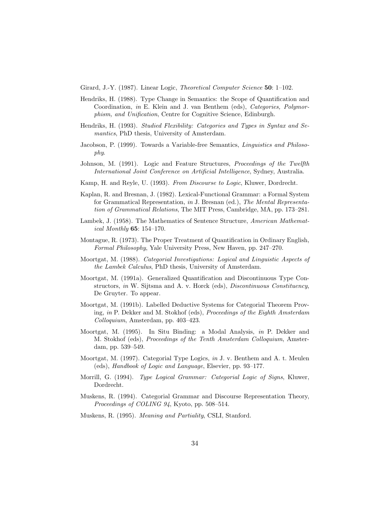Girard, J.-Y. (1987). Linear Logic, *Theoretical Computer Science* 50: 1–102.

- Hendriks, H. (1988). Type Change in Semantics: the Scope of Quantification and Coordination, in E. Klein and J. van Benthem (eds), Categories, Polymorphism, and Unification, Centre for Cognitive Science, Edinburgh.
- Hendriks, H. (1993). Studied Flexibility: Categories and Types in Syntax and Semantics, PhD thesis, University of Amsterdam.
- Jacobson, P. (1999). Towards a Variable-free Semantics, *Linguistics and Philoso*phy.
- Johnson, M. (1991). Logic and Feature Structures, Proceedings of the Twelfth International Joint Conference on Artificial Intelligence, Sydney, Australia.
- Kamp, H. and Reyle, U. (1993). From Discourse to Logic, Kluwer, Dordrecht.
- Kaplan, R. and Bresnan, J. (1982). Lexical-Functional Grammar: a Formal System for Grammatical Representation, in J. Bresnan (ed.), The Mental Representation of Grammatical Relations, The MIT Press, Cambridge, MA, pp. 173–281.
- Lambek, J. (1958). The Mathematics of Sentence Structure, American Mathematical Monthly 65: 154–170.
- Montague, R. (1973). The Proper Treatment of Quantification in Ordinary English, Formal Philosophy, Yale University Press, New Haven, pp. 247–270.
- Moortgat, M. (1988). Categorial Investigations: Logical and Linguistic Aspects of the Lambek Calculus, PhD thesis, University of Amsterdam.
- Moortgat, M. (1991a). Generalized Quantification and Discontinuous Type Constructors, in W. Sijtsma and A. v. Horck (eds), Discontinuous Constituency, De Gruyter. To appear.
- Moortgat, M. (1991b). Labelled Deductive Systems for Categorial Theorem Proving, in P. Dekker and M. Stokhof (eds), Proceedings of the Eighth Amsterdam Colloquium, Amsterdam, pp. 403–423.
- Moortgat, M. (1995). In Situ Binding: a Modal Analysis, in P. Dekker and M. Stokhof (eds), Proceedings of the Tenth Amsterdam Colloquium, Amsterdam, pp. 539–549.
- Moortgat, M. (1997). Categorial Type Logics, in J. v. Benthem and A. t. Meulen (eds), Handbook of Logic and Language, Elsevier, pp. 93–177.
- Morrill, G. (1994). Type Logical Grammar: Categorial Logic of Signs, Kluwer, Dordrecht.
- Muskens, R. (1994). Categorial Grammar and Discourse Representation Theory, Proceedings of COLING 94, Kyoto, pp. 508–514.
- Muskens, R. (1995). Meaning and Partiality, CSLI, Stanford.